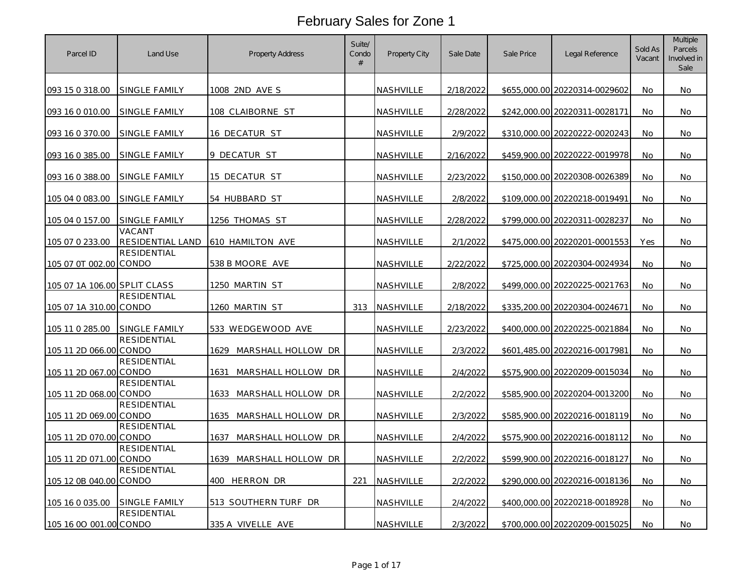| Parcel ID                    | Land Use                   | Property Address           | Suite/<br>Condo<br># | Property City    | Sale Date | Sale Price | Legal Reference               | Sold As<br>Vacant | <b>Multiple</b><br>Parcels<br>Involved in<br>Sale |
|------------------------------|----------------------------|----------------------------|----------------------|------------------|-----------|------------|-------------------------------|-------------------|---------------------------------------------------|
| 093 15 0 318.00              | SINGLE FAMILY              | 1008 2ND AVE S             |                      | NASHVILLE        | 2/18/2022 |            | \$655,000.00 20220314-0029602 | No.               | No.                                               |
| 093 16 0 010.00              | SINGLE FAMILY              | 108 CLAIBORNE ST           |                      | NASHVILLE        | 2/28/2022 |            | \$242,000.00 20220311-0028171 | No                | No                                                |
| 093 16 0 370.00              | SINGLE FAMILY              | 16 DECATUR ST              |                      | NASHVILLE        | 2/9/2022  |            | \$310,000.00 20220222-0020243 | No                | No                                                |
| 093 16 0 385.00              | SINGLE FAMILY              | 9 DECATUR ST               |                      | NASHVILLE        | 2/16/2022 |            | \$459,900.00 20220222-0019978 | No                | No                                                |
| 093 16 0 388.00              | SINGLE FAMILY              | 15 DECATUR ST              |                      | NASHVILLE        | 2/23/2022 |            | \$150,000.00 20220308-0026389 | No                | No                                                |
| 105 04 0 083.00              | SINGLE FAMILY              | 54 HUBBARD ST              |                      | NASHVILLE        | 2/8/2022  |            | \$109,000.00 20220218-0019491 | No                | No                                                |
| 105 04 0 157.00              | SINGLE FAMILY              | 1256 THOMAS ST             |                      | NASHVILLE        | 2/28/2022 |            | \$799,000.00 20220311-0028237 | <b>No</b>         | No                                                |
| 105 07 0 233.00              | VACANT<br>RESIDENTIAL LAND | 610 HAMILTON AVE           |                      | NASHVILLE        | 2/1/2022  |            | \$475,000.00 20220201-0001553 | Yes               | No                                                |
| 105 07 0T 002.00 CONDO       | RESIDENTIAL                | 538 B MOORE AVE            |                      | <u>NASHVILLE</u> | 2/22/2022 |            | \$725,000.00 20220304-0024934 | No                | No                                                |
| 105 07 1A 106.00 SPLIT CLASS |                            | 1250 MARTIN ST             |                      | NASHVILLE        | 2/8/2022  |            | \$499,000.00 20220225-0021763 | No                | No                                                |
| 105 07 1A 310.00 CONDO       | <b>RESIDENTIAL</b>         | 1260 MARTIN ST             | 313                  | NASHVILLE        | 2/18/2022 |            | \$335,200.00 20220304-0024671 | No.               | No                                                |
| 105 11 0 285.00              | SINGLE FAMILY              | 533 WEDGEWOOD AVE          |                      | NASHVILLE        | 2/23/2022 |            | \$400,000.00 20220225-0021884 | No                | No                                                |
| 105 11 2D 066.00 CONDO       | <b>RESIDENTIAL</b>         | 1629 MARSHALL HOLLOW DR    |                      | NASHVILLE        | 2/3/2022  |            | \$601,485.00 20220216-0017981 | No                | No                                                |
| 105 11 2D 067.00 CONDO       | <b>RESIDENTIAL</b>         | MARSHALL HOLLOW DR<br>1631 |                      | NASHVILLE        | 2/4/2022  |            | \$575,900.00 20220209-0015034 | No                | No                                                |
| 105 11 2D 068.00 CONDO       | <b>RESIDENTIAL</b>         | MARSHALL HOLLOW DR<br>1633 |                      | NASHVILLE        | 2/2/2022  |            | \$585,900.00 20220204-0013200 | No                | No                                                |
| 105 11 2D 069.00 CONDO       | <b>RESIDENTIAL</b>         | 1635 MARSHALL HOLLOW DR    |                      | NASHVILLE        | 2/3/2022  |            | \$585,900.00 20220216-0018119 | No                | No                                                |
| 105 11 2D 070.00 CONDO       | <b>RESIDENTIAL</b>         | MARSHALL HOLLOW DR<br>1637 |                      | NASHVILLE        | 2/4/2022  |            | \$575,900.00 20220216-0018112 | No                | No                                                |
| 105 11 2D 071.00 CONDO       | <b>RESIDENTIAL</b>         | 1639 MARSHALL HOLLOW DR    |                      | NASHVILLE        | 2/2/2022  |            | \$599,900.00 20220216-0018127 | No                | No                                                |
| 105 12 0B 040.00 CONDO       | <b>RESIDENTIAL</b>         | 400 HERRON DR              | 221                  | NASHVILLE        | 2/2/2022  |            | \$290,000.00 20220216-0018136 | No                | No                                                |
| 105 16 0 035.00              | SINGLE FAMILY              | 513 SOUTHERN TURF DR       |                      | NASHVILLE        | 2/4/2022  |            | \$400,000.00 20220218-0018928 | <b>No</b>         | No                                                |
| 105 16 00 001.00 CONDO       | <b>RESIDENTIAL</b>         | 335 A VIVELLE AVE          |                      | NASHVILLE        | 2/3/2022  |            | \$700,000.00 20220209-0015025 | No                | No                                                |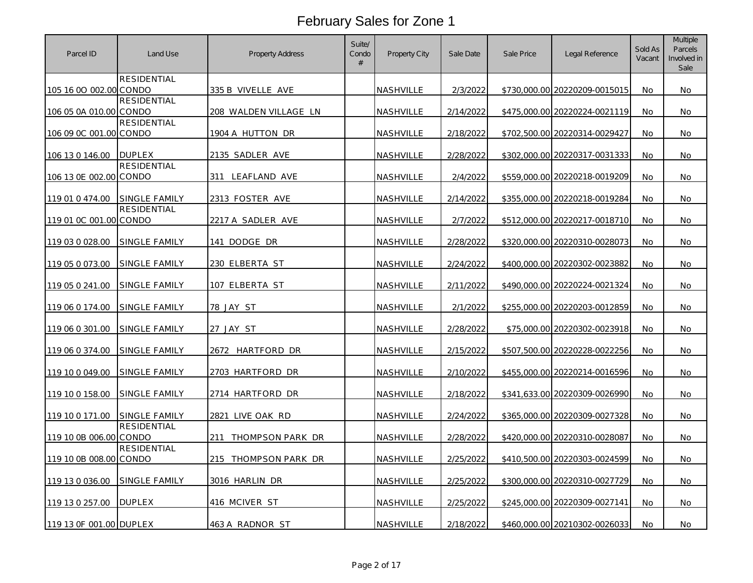| Parcel ID               | Land Use             | <b>Property Address</b> | Suite/<br>Condo<br># | Property City    | Sale Date | Sale Price | Legal Reference               | Sold As<br>Vacant | <b>Multiple</b><br>Parcels<br>Involved in<br>Sale |
|-------------------------|----------------------|-------------------------|----------------------|------------------|-----------|------------|-------------------------------|-------------------|---------------------------------------------------|
| 105 16 00 002.00 CONDO  | RESIDENTIAL          | 335 B VIVELLE AVE       |                      | NASHVILLE        | 2/3/2022  |            | \$730.000.00 20220209-0015015 | No.               | No.                                               |
| 106 05 0A 010.00 CONDO  | RESIDENTIAL          | 208 WALDEN VILLAGE LN   |                      | NASHVILLE        | 2/14/2022 |            | \$475,000.00 20220224-0021119 | No                | No                                                |
| 106 09 0C 001.00 CONDO  | <b>RESIDENTIAL</b>   | 1904 A HUTTON DR        |                      | NASHVILLE        | 2/18/2022 |            | \$702,500.00 20220314-0029427 | No                | No                                                |
| 106 13 0 146.00         | <b>DUPLEX</b>        | 2135 SADLER AVE         |                      | NASHVILLE        | 2/28/2022 |            | \$302,000.00 20220317-0031333 | No.               | No                                                |
| 106 13 0E 002.00 CONDO  | <b>RESIDENTIAL</b>   | 311 LEAFLAND AVE        |                      | NASHVILLE        | 2/4/2022  |            | \$559,000.00 20220218-0019209 | <b>No</b>         | No                                                |
| 119 01 0 474.00         | SINGLE FAMILY        | 2313 FOSTER AVE         |                      | NASHVILLE        | 2/14/2022 |            | \$355,000.00 20220218-0019284 | No                | <b>No</b>                                         |
| 119 01 0C 001.00 CONDO  | RESIDENTIAL          | 2217 A SADLER AVE       |                      | NASHVILLE        | 2/7/2022  |            | \$512,000.00 20220217-0018710 | <b>No</b>         | No                                                |
| 119 03 0 028.00         | SINGLE FAMILY        | 141 DODGE DR            |                      | NASHVILLE        | 2/28/2022 |            | \$320,000.00 20220310-0028073 | No                | No                                                |
| 119 05 0 073.00         | SINGLE FAMILY        | 230 ELBERTA ST          |                      | NASHVILLE        | 2/24/2022 |            | \$400,000.00 20220302-0023882 | No.               | No                                                |
| 119 05 0 241.00         | SINGLE FAMILY        | 107 ELBERTA ST          |                      | NASHVILLE        | 2/11/2022 |            | \$490,000.00 20220224-0021324 | <b>No</b>         | No                                                |
| 119 06 0 174.00         | SINGLE FAMILY        | 78 JAY ST               |                      | NASHVILLE        | 2/1/2022  |            | \$255,000.00 20220203-0012859 | No.               | <b>No</b>                                         |
| 119 06 0 301.00         | SINGLE FAMILY        | 27 JAY ST               |                      | NASHVILLE        | 2/28/2022 |            | \$75,000.00 20220302-0023918  | No                | <b>No</b>                                         |
| 119 06 0 374.00         | <b>SINGLE FAMILY</b> | 2672 HARTFORD DR        |                      | NASHVILLE        | 2/15/2022 |            | \$507,500.00 20220228-0022256 | No                | No                                                |
| 119 10 0 049.00         | <b>SINGLE FAMILY</b> | 2703 HARTFORD DR        |                      | <b>NASHVILLE</b> | 2/10/2022 |            | \$455,000.00 20220214-0016596 | No.               | No                                                |
| 119 10 0 158.00         | SINGLE FAMILY        | 2714 HARTFORD DR        |                      | NASHVILLE        | 2/18/2022 |            | \$341,633.00 20220309-0026990 | No                | <b>No</b>                                         |
| 119 10 0 171.00         | SINGLE FAMILY        | 2821 LIVE OAK RD        |                      | NASHVILLE        | 2/24/2022 |            | \$365,000.00 20220309-0027328 | No                | No                                                |
| 119 10 0B 006.00 CONDO  | <b>RESIDENTIAL</b>   | 211 THOMPSON PARK DR    |                      | NASHVILLE        | 2/28/2022 |            | \$420,000.00 20220310-0028087 | No                | No                                                |
| 119 10 0B 008.00 CONDO  | <b>RESIDENTIAL</b>   | 215 THOMPSON PARK DR    |                      | NASHVILLE        | 2/25/2022 |            | \$410,500.00 20220303-0024599 | No                | No                                                |
| 119 13 0 036.00         | SINGLE FAMILY        | 3016 HARLIN DR          |                      | NASHVILLE        | 2/25/2022 |            | \$300,000.00 20220310-0027729 | No.               | <b>No</b>                                         |
| 119 13 0 257.00         | <b>DUPLEX</b>        | 416 MCIVER ST           |                      | NASHVILLE        | 2/25/2022 |            | \$245,000.00 20220309-0027141 | <b>No</b>         | No                                                |
| 119 13 OF 001.00 DUPLEX |                      | 463 A RADNOR ST         |                      | NASHVILLE        | 2/18/2022 |            | \$460,000.00 20210302-0026033 | No                | No                                                |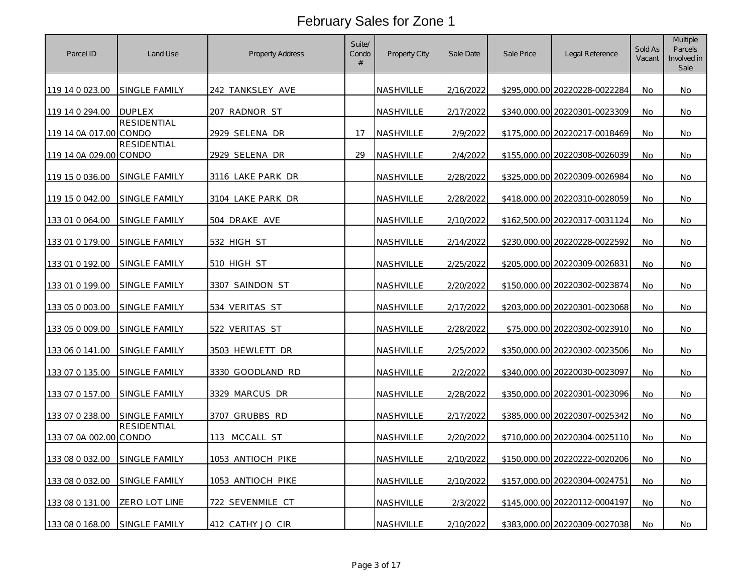| Parcel ID              | Land Use           | <b>Property Address</b> | Suite/<br>Condo<br># | Property City    | Sale Date | Sale Price | Legal Reference               | Sold As<br>Vacant | <b>Multiple</b><br>Parcels<br>Involved in<br>Sale |
|------------------------|--------------------|-------------------------|----------------------|------------------|-----------|------------|-------------------------------|-------------------|---------------------------------------------------|
| 119 14 0 023.00        | SINGLE FAMILY      | 242 TANKSLEY AVE        |                      | NASHVILLE        | 2/16/2022 |            | \$295,000.00 20220228-0022284 | No.               | No                                                |
| 119 14 0 294.00        | <b>DUPLEX</b>      | 207 RADNOR ST           |                      | NASHVILLE        | 2/17/2022 |            | \$340,000.00 20220301-0023309 | No                | No                                                |
| 119 14 0A 017.00 CONDO | <b>RESIDENTIAL</b> | 2929 SELENA DR          | 17                   | <b>NASHVILLE</b> | 2/9/2022  |            | \$175,000.00 20220217-0018469 | <b>No</b>         | No.                                               |
| 119 14 0A 029.00 CONDO | <b>RESIDENTIAL</b> | 2929 SELENA DR          | 29                   | NASHVILLE        | 2/4/2022  |            | \$155,000.00 20220308-0026039 | No                | No                                                |
| 119 15 0 036.00        | SINGLE FAMILY      | 3116 LAKE PARK DR       |                      | <b>NASHVILLE</b> | 2/28/2022 |            | \$325,000.00 20220309-0026984 | No.               | No.                                               |
| 119 15 0 042.00        | SINGLE FAMILY      | 3104 LAKE PARK DR       |                      | NASHVILLE        | 2/28/2022 |            | \$418,000.00 20220310-0028059 | No                | <b>No</b>                                         |
| 133 01 0 064.00        | SINGLE FAMILY      | <u>504 drake ave</u>    |                      | NASHVILLE        | 2/10/2022 |            | \$162,500.00 20220317-0031124 | <b>No</b>         | No.                                               |
| 133 01 0 179.00        | SINGLE FAMILY      | 532 HIGH ST             |                      | NASHVILLE        | 2/14/2022 |            | \$230,000.00 20220228-0022592 | No                | No                                                |
| 133 01 0 192.00        | SINGLE FAMILY      | 510 HIGH ST             |                      | NASHVILLE        | 2/25/2022 |            | \$205,000.00 20220309-0026831 | No                | No                                                |
| 133 01 0 199.00        | SINGLE FAMILY      | 3307 SAINDON ST         |                      | <b>NASHVILLE</b> | 2/20/2022 |            | \$150,000.00 20220302-0023874 | No                | No                                                |
| 133 05 0 003.00        | SINGLE FAMILY      | 534 VERITAS ST          |                      | NASHVILLE        | 2/17/2022 |            | \$203,000.00 20220301-0023068 | No                | No.                                               |
| 133 05 0 009.00        | SINGLE FAMILY      | 522 VERITAS ST          |                      | NASHVILLE        | 2/28/2022 |            | \$75,000.00 20220302-0023910  | <b>No</b>         | <b>No</b>                                         |
| 133 06 0 141.00        | SINGLE FAMILY      | 3503 HEWLETT DR         |                      | NASHVILLE        | 2/25/2022 |            | \$350,000.00 20220302-0023506 | No                | No                                                |
| 133 07 0 135.00        | SINGLE FAMILY      | 3330 GOODLAND RD        |                      | NASHVILLE        | 2/2/2022  |            | \$340,000.00 20220030-0023097 | No                | No                                                |
| 133 07 0 157.00        | SINGLE FAMILY      | 3329 MARCUS DR          |                      | NASHVILLE        | 2/28/2022 |            | \$350,000.00 20220301-0023096 | No                | No                                                |
| 133 07 0 238.00        | SINGLE FAMILY      | 3707 GRUBBS RD          |                      | NASHVILLE        | 2/17/2022 |            | \$385,000,00 20220307-0025342 | <b>No</b>         | No.                                               |
| 133 07 0A 002.00 CONDO | <b>RESIDENTIAL</b> | 113 MCCALL ST           |                      | NASHVILLE        | 2/20/2022 |            | \$710,000.00 20220304-0025110 | No                | No                                                |
| 133 08 0 032.00        | SINGLE FAMILY      | 1053 ANTIOCH PIKE       |                      | NASHVILLE        | 2/10/2022 |            | \$150,000.00 20220222-0020206 | <b>No</b>         | No.                                               |
| 133 08 0 032.00        | SINGLE FAMILY      | 1053 ANTIOCH PIKE       |                      | NASHVILLE        | 2/10/2022 |            | \$157,000.00 20220304-0024751 | No                | No                                                |
| 133 08 0 131.00        | ZERO LOT LINE      | 722 SEVENMILE CT        |                      | NASHVILLE        | 2/3/2022  |            | \$145,000.00 20220112-0004197 | No                | No.                                               |
| 133 08 0 168.00        | SINGLE FAMILY      | 412 CATHY JO CIR        |                      | NASHVILLE        | 2/10/2022 |            | \$383,000.00 20220309-0027038 | No                | No                                                |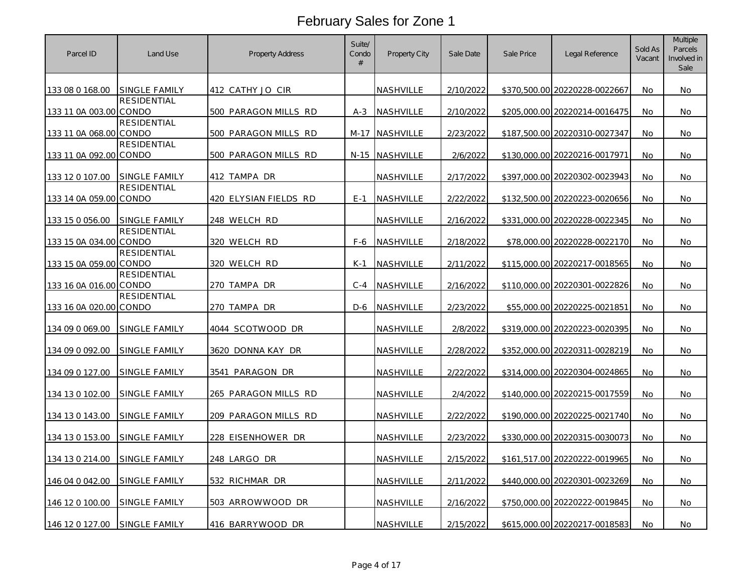| Parcel ID              | Land Use                    | <b>Property Address</b> | Suite/<br>Condo<br># | Property City    | Sale Date | Sale Price | Legal Reference               | Sold As<br>Vacant | <b>Multiple</b><br>Parcels<br>Involved in<br>Sale |
|------------------------|-----------------------------|-------------------------|----------------------|------------------|-----------|------------|-------------------------------|-------------------|---------------------------------------------------|
| 133 08 0 168.00        | SINGLE FAMILY               | 412 CATHY JO CIR        |                      | NASHVILLE        | 2/10/2022 |            | \$370,500.00 20220228-0022667 | No                | No                                                |
| 133 11 0A 003.00 CONDO | <b>RESIDENTIAL</b>          | 500 PARAGON MILLS RD    | $A-3$                | NASHVILLE        | 2/10/2022 |            | \$205,000.00 20220214-0016475 | No                | No                                                |
| 133 11 0A 068.00 CONDO | <b>RESIDENTIAL</b>          | 500 PARAGON MILLS RD    | M-17                 | <b>NASHVILLE</b> | 2/23/2022 |            | \$187,500.00 20220310-0027347 | No.               | No                                                |
| 133 11 0A 092.00 CONDO | <b>RESIDENTIAL</b>          | 500 PARAGON MILLS RD    |                      | N-15 NASHVILLE   | 2/6/2022  |            | \$130,000.00 20220216-0017971 | No                | No                                                |
| 133 12 0 107.00        | SINGLE FAMILY               | 412 TAMPA DR            |                      | NASHVILLE        | 2/17/2022 |            | \$397.000.00 20220302-0023943 | No.               | No.                                               |
| 133 14 0A 059.00 CONDO | <b>RESIDENTIAL</b>          | 420 ELYSIAN FIELDS RD   | $E-1$                | NASHVILLE        | 2/22/2022 |            | \$132,500.00 20220223-0020656 | No                | No                                                |
| 133 15 0 056.00        | SINGLE FAMILY               | 248 WELCH RD            |                      | NASHVILLE        | 2/16/2022 |            | \$331,000.00 20220228-0022345 | No.               | No.                                               |
| 133 15 0A 034.00 CONDO | <b>RESIDENTIAL</b>          | 320 WELCH RD            | F-6                  | NASHVILLE        | 2/18/2022 |            | \$78,000.00 20220228-0022170  | No                | No                                                |
| 133 15 0A 059.00       | <b>RESIDENTIAL</b><br>CONDO | 320 WELCH RD            | $K-1$                | NASHVILLE        | 2/11/2022 |            | \$115,000.00 20220217-0018565 | No                | No                                                |
| 133 16 0A 016.00 CONDO | RESIDENTIAL                 | 270 TAMPA DR            | $C-4$                | NASHVILLE        | 2/16/2022 |            | \$110,000.00 20220301-0022826 | No                | No                                                |
| 133 16 0A 020.00 CONDO | <b>RESIDENTIAL</b>          | <u>270 TAMPA DR</u>     | D-6                  | <b>NASHVILLE</b> | 2/23/2022 |            | \$55,000.00 20220225-0021851  | No.               | No                                                |
| 134 09 0 069.00        | SINGLE FAMILY               | 4044 SCOTWOOD DR        |                      | NASHVILLE        | 2/8/2022  |            | \$319,000.00 20220223-0020395 | No                | No                                                |
| 134 09 0 092.00        | SINGLE FAMILY               | 3620 DONNA KAY DR       |                      | NASHVILLE        | 2/28/2022 |            | \$352.000.00 20220311-0028219 | No                | No                                                |
| 134 09 0 127.00        | SINGLE FAMILY               | 3541 PARAGON DR         |                      | NASHVILLE        | 2/22/2022 |            | \$314,000.00 20220304-0024865 | No                | No                                                |
| 134 13 0 102.00        | SINGLE FAMILY               | 265 PARAGON MILLS RD    |                      | NASHVILLE        | 2/4/2022  |            | \$140,000.00 20220215-0017559 | No                | No                                                |
| 134 13 0 143.00        | SINGLE FAMILY               | 209 PARAGON MILLS RD    |                      | NASHVILLE        | 2/22/2022 |            | \$190,000.00 20220225-0021740 | No                | No                                                |
| 134 13 0 153.00        | SINGLE FAMILY               | 228 EISENHOWER DR       |                      | NASHVILLE        | 2/23/2022 |            | \$330,000.00 20220315-0030073 | No                | No                                                |
| 134 13 0 214.00        | SINGLE FAMILY               | 248 LARGO DR            |                      | NASHVILLE        | 2/15/2022 |            | \$161,517.00 20220222-0019965 | No.               | No                                                |
| 146 04 0 042.00        | SINGLE FAMILY               | 532 RICHMAR DR          |                      | NASHVILLE        | 2/11/2022 |            | \$440,000.00 20220301-0023269 | No                | No                                                |
| 146 12 0 100.00        | SINGLE FAMILY               | 503 ARROWWOOD DR        |                      | NASHVILLE        | 2/16/2022 |            | \$750,000.00 20220222-0019845 | No.               | No.                                               |
| 146 12 0 127.00        | <b>SINGLE FAMILY</b>        | 416 BARRYWOOD DR        |                      | NASHVILLE        | 2/15/2022 |            | \$615,000.00 20220217-0018583 | No                | No                                                |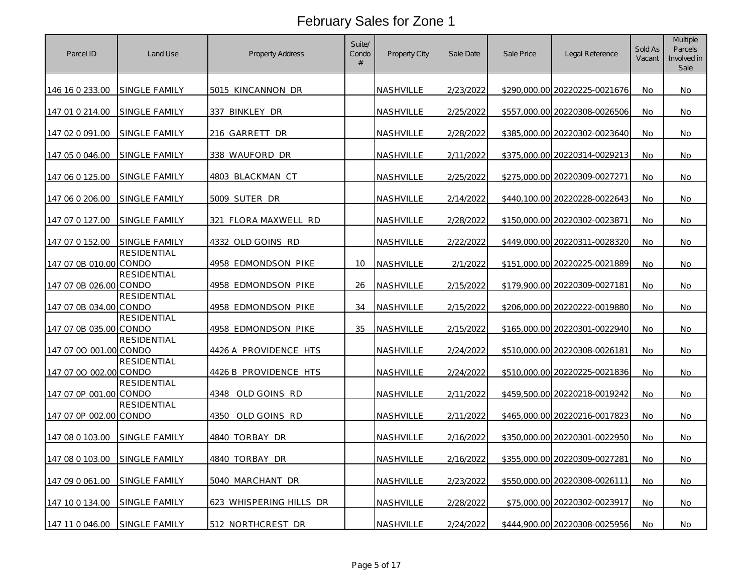| Parcel ID              | Land Use                    | <b>Property Address</b> | Suite/<br>Condo<br># | Property City | Sale Date | Sale Price | Legal Reference               | Sold As<br>Vacant | <b>Multiple</b><br>Parcels<br>Involved in<br>Sale |
|------------------------|-----------------------------|-------------------------|----------------------|---------------|-----------|------------|-------------------------------|-------------------|---------------------------------------------------|
| 146 16 0 233.00        | SINGLE FAMILY               | 5015 KINCANNON DR       |                      | NASHVILLE     | 2/23/2022 |            | \$290.000.00 20220225-0021676 | No.               | No.                                               |
| 147 01 0 214.00        | SINGLE FAMILY               | 337 BINKLEY DR          |                      | NASHVILLE     | 2/25/2022 |            | \$557,000.00 20220308-0026506 | No                | No                                                |
| 147 02 0 091.00        | SINGLE FAMILY               | 216 GARRETT DR          |                      | NASHVILLE     | 2/28/2022 |            | \$385,000.00 20220302-0023640 | No                | No                                                |
| 147 05 0 046.00        | SINGLE FAMILY               | 338 WAUFORD DR          |                      | NASHVILLE     | 2/11/2022 |            | \$375,000.00 20220314-0029213 | No                | <b>No</b>                                         |
| 147 06 0 125.00        | SINGLE FAMILY               | 4803 BLACKMAN CT        |                      | NASHVILLE     | 2/25/2022 |            | \$275,000.00 20220309-0027271 | No.               | No                                                |
| 147 06 0 206.00        | SINGLE FAMILY               | 5009 SUTER DR           |                      | NASHVILLE     | 2/14/2022 |            | \$440,100.00 20220228-0022643 | No                | <b>No</b>                                         |
| 147 07 0 127.00        | SINGLE FAMILY               | FLORA MAXWELL RD<br>321 |                      | NASHVILLE     | 2/28/2022 |            | \$150,000.00 20220302-0023871 | <b>No</b>         | No                                                |
| 147 07 0 152.00        | SINGLE FAMILY               | 4332 OLD GOINS RD       |                      | NASHVILLE     | 2/22/2022 |            | \$449,000.00 20220311-0028320 | No                | No                                                |
| 147 07 0B 010.00       | <b>RESIDENTIAL</b><br>CONDO | 4958 EDMONDSON PIKE     | 10                   | NASHVILLE     | 2/1/2022  |            | \$151,000.00 20220225-0021889 | No                | No                                                |
| 147 07 0B 026.00 CONDO | RESIDENTIAL                 | 4958 EDMONDSON PIKE     | 26                   | NASHVILLE     | 2/15/2022 |            | \$179,900.00 20220309-0027181 | No                | No                                                |
| 147 07 0B 034.00       | <b>RESIDENTIAL</b><br>CONDO | 4958 EDMONDSON PIKE     | 34                   | NASHVILLE     | 2/15/2022 |            | \$206,000.00 20220222-0019880 | <b>No</b>         | No.                                               |
| 147 07 0B 035.00 CONDO | <b>RESIDENTIAL</b>          | 4958 EDMONDSON PIKE     | 35                   | NASHVILLE     | 2/15/2022 |            | \$165,000.00 20220301-0022940 | No                | No                                                |
| 147 07 00 001.00 CONDO | <b>RESIDENTIAL</b>          | 4426 A PROVIDENCE HTS   |                      | NASHVILLE     | 2/24/2022 |            | \$510,000.00 20220308-0026181 | No                | No                                                |
| 147 07 00 002.00 CONDO | <b>RESIDENTIAL</b>          | 4426 B PROVIDENCE HTS   |                      | NASHVILLE     | 2/24/2022 |            | \$510,000.00 20220225-0021836 | No                | No                                                |
| 147 07 0P 001.00 CONDO | <b>RESIDENTIAL</b>          | OLD GOINS RD<br>4348    |                      | NASHVILLE     | 2/11/2022 |            | \$459,500.00 20220218-0019242 | No                | No                                                |
| 147 07 0P 002.00 CONDO | <b>RESIDENTIAL</b>          | 4350 OLD GOINS RD       |                      | NASHVILLE     | 2/11/2022 |            | \$465,000.00 20220216-0017823 | No                | No                                                |
| 147 08 0 103.00        | SINGLE FAMILY               | 4840 TORBAY DR          |                      | NASHVILLE     | 2/16/2022 |            | \$350,000.00 20220301-0022950 | No                | No                                                |
| 147 08 0 103.00        | SINGLE FAMILY               | 4840 TORBAY DR          |                      | NASHVILLE     | 2/16/2022 |            | \$355,000.00 20220309-0027281 | No                | No                                                |
| 147 09 0 061 00        | SINGLE FAMILY               | 5040 MARCHANT DR        |                      | NASHVILLE     | 2/23/2022 |            | \$550,000.00 20220308-0026111 | No.               | No.                                               |
| 147 10 0 134.00        | SINGLE FAMILY               | 623 WHISPERING HILLS DR |                      | NASHVILLE     | 2/28/2022 |            | \$75,000.00 20220302-0023917  | No                | No                                                |
| 147 11 0 046.00        | SINGLE FAMILY               | 512 NORTHCREST DR       |                      | NASHVILLE     | 2/24/2022 |            | \$444,900.00 20220308-0025956 | No                | No                                                |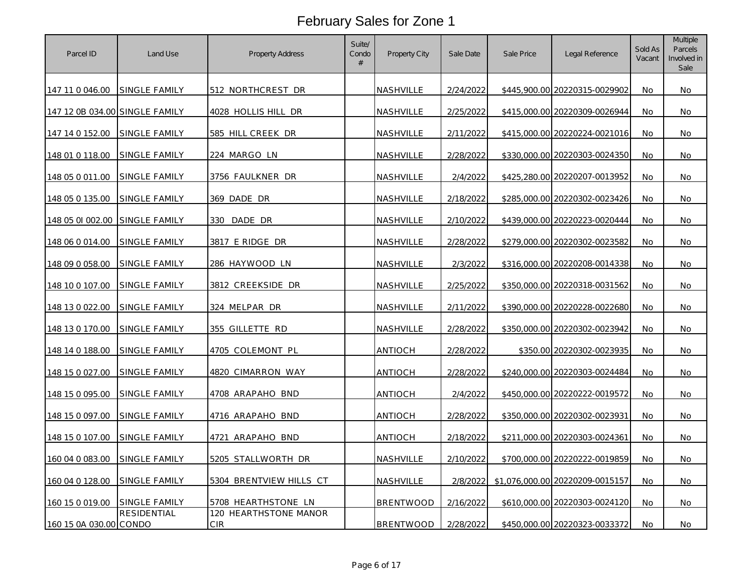| Parcel ID                      | Land Use             | <b>Property Address</b>             | Suite/<br>Condo<br># | Property City    | Sale Date | Sale Price | Legal Reference                 | Sold As<br>Vacant | Multiple<br>Parcels<br>Involved in<br>Sale |
|--------------------------------|----------------------|-------------------------------------|----------------------|------------------|-----------|------------|---------------------------------|-------------------|--------------------------------------------|
| 147 11 0 046.00                | <b>SINGLE FAMILY</b> | 512 NORTHCREST DR                   |                      | NASHVILLE        | 2/24/2022 |            | \$445,900.00 20220315-0029902   | <b>No</b>         | No.                                        |
| 147 12 0B 034.00 SINGLE FAMILY |                      | 4028 HOLLIS HILL DR                 |                      | NASHVILLE        | 2/25/2022 |            | \$415,000.00 20220309-0026944   | No                | No                                         |
| 147 14 0 152.00                | <b>SINGLE FAMILY</b> | 585 HILL CREEK DR                   |                      | NASHVILLE        | 2/11/2022 |            | \$415,000.00 20220224-0021016   | No                | No                                         |
| 148 01 0 118.00                | SINGLE FAMILY        | 224 MARGO LN                        |                      | NASHVILLE        | 2/28/2022 |            | \$330,000.00 20220303-0024350   | No                | No                                         |
| 148 05 0 011.00                | SINGLE FAMILY        | 3756 FAULKNER DR                    |                      | NASHVILLE        | 2/4/2022  |            | \$425,280.00 20220207-0013952   | No.               | No                                         |
| 148 05 0 135.00                | SINGLE FAMILY        | 369 DADE DR                         |                      | NASHVILLE        | 2/18/2022 |            | \$285,000.00 20220302-0023426   | No                | No                                         |
| 148 05 01 002.00 SINGLE FAMILY |                      | DADE DR<br>330                      |                      | NASHVILLE        | 2/10/2022 |            | \$439,000.00 20220223-0020444   | No.               | No.                                        |
| 148 06 0 014.00                | SINGLE FAMILY        | 3817 E RIDGE DR                     |                      | NASHVILLE        | 2/28/2022 |            | \$279,000.00 20220302-0023582   | No                | No                                         |
| 148 09 0 058.00                | SINGLE FAMILY        | 286 HAYWOOD LN                      |                      | NASHVILLE        | 2/3/2022  |            | \$316,000.00 20220208-0014338   | No                | No                                         |
| 148 10 0 107.00                | <b>SINGLE FAMILY</b> | 3812 CREEKSIDE DR                   |                      | NASHVILLE        | 2/25/2022 |            | \$350,000.00 20220318-0031562   | No                | No                                         |
| 148 13 0 022.00                | SINGLE FAMILY        | 324 MELPAR DR                       |                      | NASHVILLE        | 2/11/2022 |            | \$390,000.00 20220228-0022680   | No                | No                                         |
| 148 13 0 170.00                | <b>SINGLE FAMILY</b> | 355 GILLETTE RD                     |                      | NASHVILLE        | 2/28/2022 |            | \$350,000.00 20220302-0023942   | No                | No                                         |
| 148 14 0 188.00                | SINGLE FAMILY        | 4705 COLEMONT PL                    |                      | <b>ANTIOCH</b>   | 2/28/2022 |            | \$350.00 20220302-0023935       | No                | No                                         |
| 148 15 0 027.00                | SINGLE FAMILY        | 4820 CIMARRON WAY                   |                      | ANTIOCH          | 2/28/2022 |            | \$240,000.00 20220303-0024484   | <b>No</b>         | <b>No</b>                                  |
| <u>148 15 0 095.00</u>         | SINGLE FAMILY        | 4708 ARAPAHO BND                    |                      | ANTIOCH          | 2/4/2022  |            | \$450,000.00 20220222-0019572   | No                | No                                         |
| 148 15 0 097.00                | <b>SINGLE FAMILY</b> | 4716 ARAPAHO BND                    |                      | ANTIOCH          | 2/28/2022 |            | \$350,000.00 20220302-0023931   | No                | No                                         |
| 148 15 0 107.00                | SINGLE FAMILY        | 4721 ARAPAHO BND                    |                      | ANTIOCH          | 2/18/2022 |            | \$211,000.00 20220303-0024361   | No                | No                                         |
| 160 04 0 083.00                | <b>SINGLE FAMILY</b> | 5205 STALLWORTH DR                  |                      | NASHVILLE        | 2/10/2022 |            | \$700,000.00 20220222-0019859   | No                | No                                         |
| 160 04 0 128.00                | SINGLE FAMILY        | 5304 BRENTVIEW HILLS CT             |                      | NASHVILLE        | 2/8/2022  |            | \$1,076,000.00 20220209-0015157 | No                | No                                         |
| 160 15 0 019.00                | <b>SINGLE FAMILY</b> | 5708 HEARTHSTONE LN                 |                      | <b>BRENTWOOD</b> | 2/16/2022 |            | \$610,000.00 20220303-0024120   | <b>No</b>         | No                                         |
| 160 15 0A 030.00 CONDO         | RESIDENTIAL          | 120 HEARTHSTONE MANOR<br><b>CIR</b> |                      | <b>BRENTWOOD</b> | 2/28/2022 |            | \$450,000.00 20220323-0033372   | No                | No                                         |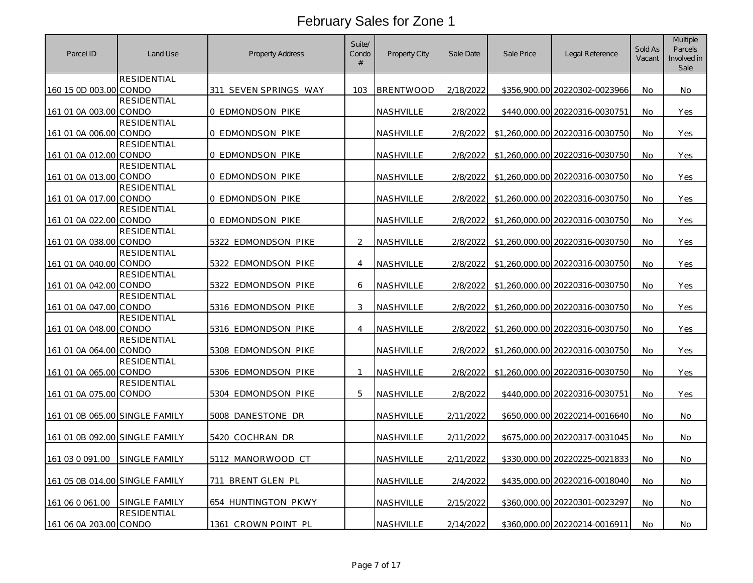| Parcel ID                      | Land Use                    | <b>Property Address</b>    | Suite/<br>Condo<br># | Property City    | Sale Date | Sale Price | Legal Reference                 | Sold As<br>Vacant | <b>Multiple</b><br>Parcels<br>Involved in<br>Sale |
|--------------------------------|-----------------------------|----------------------------|----------------------|------------------|-----------|------------|---------------------------------|-------------------|---------------------------------------------------|
|                                | <b>RESIDENTIAL</b>          |                            |                      |                  |           |            |                                 |                   |                                                   |
| 160 15 0D 003.00 CONDO         |                             | 311 SEVEN SPRINGS WAY      | 103                  | <b>BRENTWOOD</b> | 2/18/2022 |            | \$356,900.00 20220302-0023966   | No.               | No.                                               |
| 161 01 0A 003.00               | <b>RESIDENTIAL</b><br>CONDO | <b>0 EDMONDSON PIKE</b>    |                      | NASHVILLE        | 2/8/2022  |            | \$440,000.00 20220316-0030751   | No                | Yes                                               |
|                                | <b>RESIDENTIAL</b>          |                            |                      |                  |           |            |                                 |                   |                                                   |
| 161 01 0A 006.00 CONDO         |                             | 0 EDMONDSON PIKE           |                      | NASHVILLE        | 2/8/2022  |            | \$1,260,000.00 20220316-0030750 | No                | Yes                                               |
|                                | <b>RESIDENTIAL</b>          |                            |                      |                  |           |            |                                 |                   |                                                   |
| 161 01 0A 012.00 CONDO         |                             | 0 EDMONDSON PIKE           |                      | NASHVILLE        | 2/8/2022  |            | \$1,260,000.00 20220316-0030750 | <b>No</b>         | Yes                                               |
|                                | <b>RESIDENTIAL</b>          |                            |                      |                  |           |            |                                 |                   |                                                   |
| 161 01 0A 013.00 CONDO         |                             | 0 EDMONDSON PIKE           |                      | NASHVILLE        | 2/8/2022  |            | \$1,260,000.00 20220316-0030750 | No.               | Yes                                               |
| 161 01 0A 017.00               | RESIDENTIAL<br>CONDO        | 0 EDMONDSON PIKE           |                      | NASHVILLE        | 2/8/2022  |            | \$1,260,000.00 20220316-0030750 | No                | Yes                                               |
|                                | <b>RESIDENTIAL</b>          |                            |                      |                  |           |            |                                 |                   |                                                   |
| 161 01 0A 022.00               | CONDO                       | 0 EDMONDSON PIKE           |                      | NASHVILLE        | 2/8/2022  |            | \$1,260,000.00 20220316-0030750 | <b>No</b>         | Yes                                               |
|                                | <b>RESIDENTIAL</b>          |                            |                      |                  |           |            |                                 |                   |                                                   |
| 161 01 0A 038.00 CONDO         |                             | 5322 EDMONDSON PIKE        | $\overline{2}$       | NASHVILLE        | 2/8/2022  |            | \$1,260,000.00 20220316-0030750 | No                | Yes                                               |
|                                | <b>RESIDENTIAL</b>          |                            |                      |                  |           |            |                                 |                   |                                                   |
| 161 01 0A 040.00               | CONDO                       | 5322 EDMONDSON PIKE        | $\overline{4}$       | NASHVILLE        | 2/8/2022  |            | \$1,260,000.00 20220316-0030750 | No                | Yes                                               |
| 161 01 0A 042.00 CONDO         | <b>RESIDENTIAL</b>          | 5322 EDMONDSON PIKE        | 6                    | NASHVILLE        | 2/8/2022  |            | \$1,260,000.00 20220316-0030750 | No                | Yes                                               |
|                                | <b>RESIDENTIAL</b>          |                            |                      |                  |           |            |                                 |                   |                                                   |
| 161 01 0A 047.00               | CONDO                       | <u>5316 EDMONDSON PIKE</u> | 3                    | <b>NASHVILLE</b> | 2/8/2022  |            | \$1,260,000.00 20220316-0030750 | <b>No</b>         | Yes                                               |
|                                | <b>RESIDENTIAL</b>          |                            |                      |                  |           |            |                                 |                   |                                                   |
| 161 01 0A 048.00 CONDO         |                             | 5316 EDMONDSON PIKE        | $\overline{4}$       | NASHVILLE        | 2/8/2022  |            | \$1,260,000.00 20220316-0030750 | No                | Yes                                               |
|                                | <b>RESIDENTIAL</b>          |                            |                      |                  |           |            |                                 |                   |                                                   |
| 161 01 0A 064.00 CONDO         |                             | 5308 EDMONDSON PIKE        |                      | NASHVILLE        | 2/8/2022  |            | \$1,260,000.00 20220316-0030750 | No                | Yes                                               |
|                                | <b>RESIDENTIAL</b>          |                            | -1                   |                  |           |            |                                 |                   |                                                   |
| 161 01 0A 065.00 CONDO         | <b>RESIDENTIAL</b>          | 5306 EDMONDSON PIKE        |                      | <b>NASHVILLE</b> | 2/8/2022  |            | \$1,260,000.00 20220316-0030750 | No                | Yes                                               |
| 161 01 0A 075.00 CONDO         |                             | 5304 EDMONDSON PIKE        | 5                    | NASHVILLE        | 2/8/2022  |            | \$440,000.00 20220316-0030751   | <b>No</b>         | <b>Yes</b>                                        |
|                                |                             |                            |                      |                  |           |            |                                 |                   |                                                   |
| 161 01 0B 065.00 SINGLE FAMILY |                             | 5008 DANESTONE DR          |                      | NASHVILLE        | 2/11/2022 |            | \$650,000.00 20220214-0016640   | No                | No                                                |
| 161 01 0B 092.00 SINGLE FAMILY |                             | 5420 COCHRAN DR            |                      | NASHVILLE        | 2/11/2022 |            | \$675,000.00 20220317-0031045   | No                | No                                                |
|                                |                             |                            |                      |                  |           |            |                                 |                   |                                                   |
| 161 03 0 091.00                | SINGLE FAMILY               | 5112 MANORWOOD CT          |                      | <b>NASHVILLE</b> | 2/11/2022 |            | \$330,000.00 20220225-0021833   | No                | No                                                |
| 161 05 0B 014.00 SINGLE FAMILY |                             | 711 BRENT GLEN PL          |                      | NASHVILLE        | 2/4/2022  |            | \$435,000.00 20220216-0018040   | <b>No</b>         | No.                                               |
|                                |                             |                            |                      |                  |           |            |                                 |                   |                                                   |
| 161 06 0 061.00                | <b>SINGLE FAMILY</b>        | 654 HUNTINGTON PKWY        |                      | NASHVILLE        | 2/15/2022 |            | \$360,000.00 20220301-0023297   | No                | No                                                |
|                                | <b>RESIDENTIAL</b>          |                            |                      |                  |           |            |                                 |                   |                                                   |
| 161 06 0A 203.00 CONDO         |                             | 1361 CROWN POINT PL        |                      | NASHVILLE        | 2/14/2022 |            | \$360,000.00 20220214-0016911   | No                | No                                                |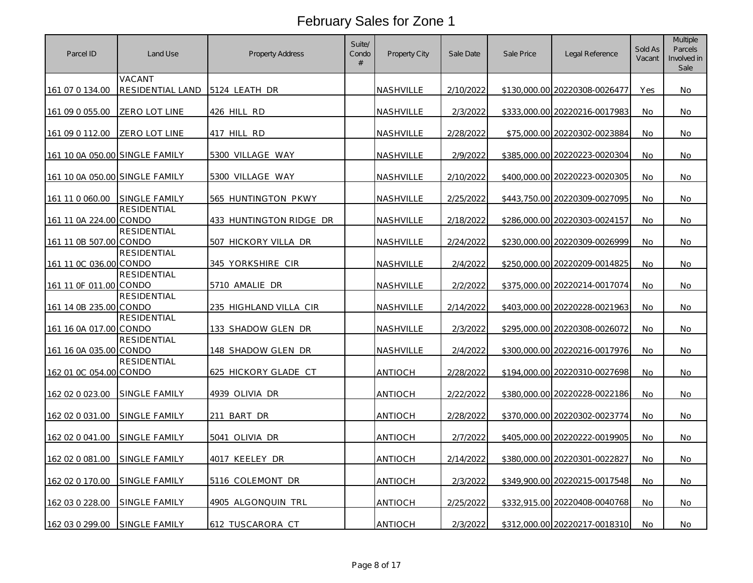| Parcel ID                      | Land Use                    | <b>Property Address</b>       | Suite/<br>Condo<br># | Property City  | Sale Date | Sale Price | Legal Reference               | Sold As<br>Vacant | <b>Multiple</b><br>Parcels<br>Involved in<br>Sale |
|--------------------------------|-----------------------------|-------------------------------|----------------------|----------------|-----------|------------|-------------------------------|-------------------|---------------------------------------------------|
| 161 07 0 134.00                | VACANT<br>RESIDENTIAL LAND  | 5124 LEATH DR                 |                      | NASHVILLE      | 2/10/2022 |            | \$130,000.00 20220308-0026477 | Yes               | No.                                               |
| 161 09 0 055.00                | ZERO LOT LINE               | 426 HILL RD                   |                      | NASHVILLE      | 2/3/2022  |            | \$333,000.00 20220216-0017983 | No                | No                                                |
| 161 09 0 112.00                | ZERO LOT LINE               | 417 HILL RD                   |                      | NASHVILLE      | 2/28/2022 |            | \$75,000.00 20220302-0023884  | No                | No                                                |
| 161 10 0A 050.00 SINGLE FAMILY |                             | 5300 VILLAGE WAY              |                      | NASHVILLE      | 2/9/2022  |            | \$385,000.00 20220223-0020304 | No                | <b>No</b>                                         |
| 161 10 0A 050.00 SINGLE FAMILY |                             | 5300 VILLAGE WAY              |                      | NASHVILLE      | 2/10/2022 |            | \$400,000.00 20220223-0020305 | No.               | No                                                |
| 161 11 0 060.00                | SINGLE FAMILY               | 565 HUNTINGTON PKWY           |                      | NASHVILLE      | 2/25/2022 |            | \$443,750.00 20220309-0027095 | No.               | <b>No</b>                                         |
| 161 11 0A 224.00               | RESIDENTIAL<br>CONDO        | 433 HUNTINGTON RIDGE DR       |                      | NASHVILLE      | 2/18/2022 |            | \$286,000.00 20220303-0024157 | <b>No</b>         | No.                                               |
| 161 11 0B 507.00 CONDO         | <b>RESIDENTIAL</b>          | 507 HICKORY VILLA DR          |                      | NASHVILLE      | 2/24/2022 |            | \$230,000.00 20220309-0026999 | No                | No                                                |
| 161 11 0C 036.00 CONDO         | <b>RESIDENTIAL</b>          | 345 YORKSHIRE CIR             |                      | NASHVILLE      | 2/4/2022  |            | \$250,000.00 20220209-0014825 | No.               | No                                                |
| 161 11 0F 011.00 CONDO         | RESIDENTIAL                 | 5710 AMALIE DR                |                      | NASHVILLE      | 2/2/2022  |            | \$375,000.00 20220214-0017074 | No                | No                                                |
| 161 14 0B 235.00               | <b>RESIDENTIAL</b><br>CONDO | <u>235 HIGHLAND VILLA CIR</u> |                      | NASHVILLE      | 2/14/2022 |            | \$403,000.00 20220228-0021963 | No.               | No.                                               |
| 161 16 0A 017.00 CONDO         | <b>RESIDENTIAL</b>          | 133 SHADOW GLEN DR            |                      | NASHVILLE      | 2/3/2022  |            | \$295,000.00 20220308-0026072 | No                | No                                                |
| 161 16 0A 035.00 CONDO         | <b>RESIDENTIAL</b>          | 148 SHADOW GLEN DR            |                      | NASHVILLE      | 2/4/2022  |            | \$300,000.00 20220216-0017976 | No                | No                                                |
| 162 01 0C 054.00 CONDO         | RESIDENTIAL                 | 625 HICKORY GLADE CT          |                      | antioch        | 2/28/2022 |            | \$194,000.00 20220310-0027698 | No.               | No                                                |
| 162 02 0 023.00                | SINGLE FAMILY               | 4939 OLIVIA DR                |                      | ANTIOCH        | 2/22/2022 |            | \$380,000.00 20220228-0022186 | No                | No                                                |
| 162 02 0 031.00                | SINGLE FAMILY               | 211 BART DR                   |                      | antioch        | 2/28/2022 |            | \$370,000.00 20220302-0023774 | No                | No                                                |
| 162 02 0 041.00                | SINGLE FAMILY               | 5041 OLIVIA DR                |                      | antioch        | 2/7/2022  |            | \$405,000.00 20220222-0019905 | No                | No                                                |
| 162 02 0 081.00                | SINGLE FAMILY               | 4017 KEELEY DR                |                      | ANTIOCH        | 2/14/2022 |            | \$380,000.00 20220301-0022827 | No                | No                                                |
| 162 02 0 170.00                | SINGLE FAMILY               | 5116 COLEMONT DR              |                      | antioch        | 2/3/2022  |            | \$349,900.00 20220215-0017548 | <b>No</b>         | No.                                               |
| 162 03 0 228.00                | SINGLE FAMILY               | 4905 ALGONQUIN TRL            |                      | antioch        | 2/25/2022 |            | \$332,915.00 20220408-0040768 | No                | No                                                |
| 162 03 0 299.00                | SINGLE FAMILY               | 612 TUSCARORA CT              |                      | <b>ANTIOCH</b> | 2/3/2022  |            | \$312,000.00 20220217-0018310 | No                | No                                                |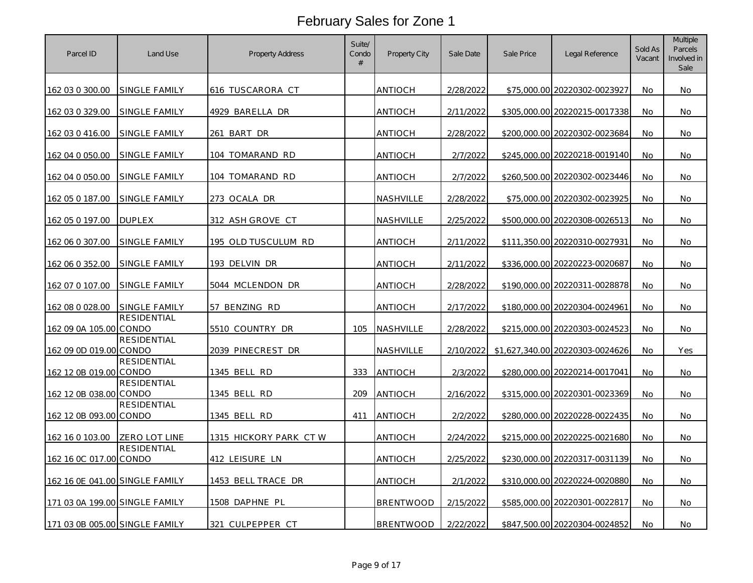| Parcel ID                      | Land Use             | <b>Property Address</b> | Suite/<br>Condo<br># | Property City    | Sale Date | Sale Price | Legal Reference                 | Sold As<br>Vacant | <b>Multiple</b><br>Parcels<br>Involved in<br>Sale |
|--------------------------------|----------------------|-------------------------|----------------------|------------------|-----------|------------|---------------------------------|-------------------|---------------------------------------------------|
| 162 03 0 300.00                | SINGLE FAMILY        | 616 TUSCARORA CT        |                      | antioch          | 2/28/2022 |            | \$75,000.00 20220302-0023927    | <b>No</b>         | No.                                               |
| 162 03 0 329.00                | SINGLE FAMILY        | 4929 BARELLA DR         |                      | <b>ANTIOCH</b>   | 2/11/2022 |            | \$305,000.00 20220215-0017338   | No                | No                                                |
| 162 03 0 416.00                | SINGLE FAMILY        | 261 BART DR             |                      | antioch          | 2/28/2022 |            | \$200,000.00 20220302-0023684   | No                | No                                                |
| 162 04 0 050.00                | SINGLE FAMILY        | 104 TOMARAND RD         |                      | antioch          | 2/7/2022  |            | \$245,000.00 20220218-0019140   | No.               | <b>No</b>                                         |
| 162 04 0 050.00                | SINGLE FAMILY        | 104 TOMARAND RD         |                      | antioch          | 2/7/2022  |            | \$260,500.00 20220302-0023446   | No.               | No.                                               |
| 162 05 0 187.00                | <b>SINGLE FAMILY</b> | 273 OCALA DR            |                      | NASHVILLE        | 2/28/2022 |            | \$75,000.00 20220302-0023925    | No                | No                                                |
| 162 05 0 197.00                | <b>DUPLEX</b>        | 312 ASH GROVE CT        |                      | NASHVILLE        | 2/25/2022 |            | \$500,000.00 20220308-0026513   | <b>No</b>         | <b>No</b>                                         |
| 162 06 0 307.00                | SINGLE FAMILY        | 195 OLD TUSCULUM RD     |                      | <b>ANTIOCH</b>   | 2/11/2022 |            | \$111,350.00 20220310-0027931   | No                | No                                                |
| 162 06 0 352.00                | SINGLE FAMILY        | 193 DELVIN DR           |                      | <b>ANTIOCH</b>   | 2/11/2022 |            | \$336,000.00 20220223-0020687   | No                | No                                                |
| 162 07 0 107.00                | SINGLE FAMILY        | 5044 MCLENDON DR        |                      | antioch          | 2/28/2022 |            | \$190,000.00 20220311-0028878   | No                | <b>No</b>                                         |
| 162 08 0 028.00                | <b>SINGLE FAMILY</b> | 57 BENZING RD           |                      | <b>ANTIOCH</b>   | 2/17/2022 |            | \$180,000.00 20220304-0024961   | <b>No</b>         | No                                                |
| 162 09 0A 105.00 CONDO         | RESIDENTIAL          | 5510 COUNTRY DR         | 105                  | NASHVILLE        | 2/28/2022 |            | \$215,000.00 20220303-0024523   | No                | No                                                |
| 162 09 0D 019.00 CONDO         | RESIDENTIAL          | 2039 PINECREST DR       |                      | NASHVILLE        | 2/10/2022 |            | \$1,627,340.00 20220303-0024626 | No.               | Yes                                               |
| 162 12 0B 019.00 CONDO         | <b>RESIDENTIAL</b>   | 1345 BELL RD            | 333                  | <b>ANTIOCH</b>   | 2/3/2022  |            | \$280,000.00 20220214-0017041   | No                | No                                                |
| 162 12 0B 038.00 CONDO         | <b>RESIDENTIAL</b>   | 1345 BELL RD            | 209                  | <b>ANTIOCH</b>   | 2/16/2022 |            | \$315,000.00 20220301-0023369   | <b>No</b>         | No                                                |
| 162 12 0B 093.00 CONDO         | RESIDENTIAL          | 1345 BELL RD            | 411                  | <b>ANTIOCH</b>   | 2/2/2022  |            | \$280,000.00 20220228-0022435   | No                | No                                                |
| 162 16 0 103.00                | ZERO LOT LINE        | 1315 HICKORY PARK CT W  |                      | <b>ANTIOCH</b>   | 2/24/2022 |            | \$215,000.00 20220225-0021680   | No                | No                                                |
| 162 16 0C 017.00 CONDO         | <b>RESIDENTIAL</b>   | 412 LEISURE LN          |                      | ANTIOCH          | 2/25/2022 |            | \$230,000.00 20220317-0031139   | No                | <b>No</b>                                         |
| 162 16 0E 041.00 SINGLE FAMILY |                      | 1453 BELL TRACE DR      |                      | antioch          | 2/1/2022  |            | \$310,000.00 20220224-0020880   | No                | <b>No</b>                                         |
| 171 03 0A 199.00 SINGLE FAMILY |                      | 1508 DAPHNE PL          |                      | <b>BRENTWOOD</b> | 2/15/2022 |            | \$585,000.00 20220301-0022817   | No                | No                                                |
| 171 03 0B 005.00 SINGLE FAMILY |                      | 321 CULPEPPER CT        |                      | BRENTWOOD        | 2/22/2022 |            | \$847,500.00 20220304-0024852   | No                | No                                                |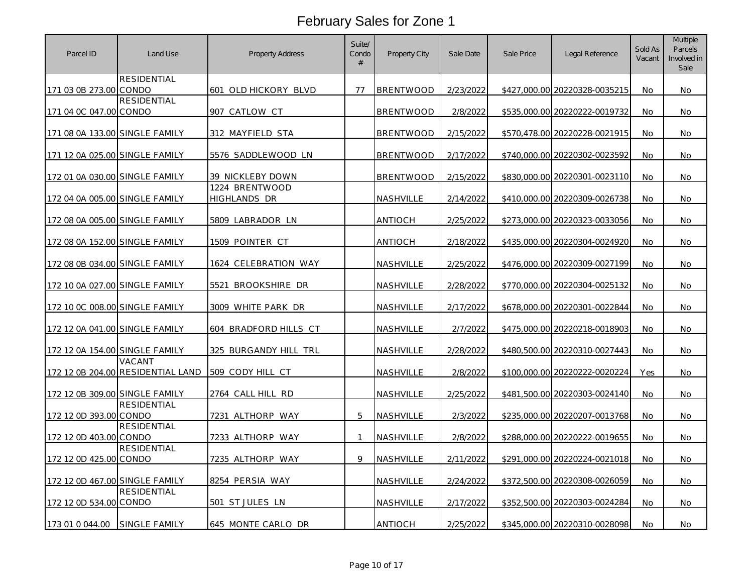| Parcel ID                      | Land Use                                    | <b>Property Address</b>        | Suite/<br>Condo<br># | Property City    | Sale Date | Sale Price | Legal Reference               | Sold As<br>Vacant | <b>Multiple</b><br>Parcels<br>Involved in<br>Sale |
|--------------------------------|---------------------------------------------|--------------------------------|----------------------|------------------|-----------|------------|-------------------------------|-------------------|---------------------------------------------------|
| 171 03 0B 273.00 CONDO         | RESIDENTIAL                                 | 601 OLD HICKORY BLVD           | 77                   | <b>BRENTWOOD</b> | 2/23/2022 |            | \$427,000.00 20220328-0035215 | No                | No                                                |
|                                | <b>RESIDENTIAL</b>                          |                                |                      |                  |           |            |                               |                   |                                                   |
| 171 04 0C 047.00 CONDO         |                                             | 907 CATLOW CT                  |                      | <b>BRENTWOOD</b> | 2/8/2022  |            | \$535,000.00 20220222-0019732 | No                | No                                                |
| 171 08 0A 133.00 SINGLE FAMILY |                                             | 312 MAYFIELD STA               |                      | <b>BRENTWOOD</b> | 2/15/2022 |            | \$570,478.00 20220228-0021915 | No.               | No.                                               |
| 171 12 0A 025.00 SINGLE FAMILY |                                             | 5576 SADDLEWOOD LN             |                      | <b>BRENTWOOD</b> | 2/17/2022 |            | \$740,000.00 20220302-0023592 | No                | No                                                |
| 172 01 0A 030.00 SINGLE FAMILY |                                             | 39 NICKLEBY DOWN               |                      | <b>BRENTWOOD</b> | 2/15/2022 |            | \$830,000,00 20220301-0023110 | No.               | No.                                               |
| 172 04 0A 005.00 SINGLE FAMILY |                                             | 1224 BRENTWOOD<br>HIGHLANDS DR |                      | NASHVILLE        | 2/14/2022 |            | \$410,000.00 20220309-0026738 | No                | <b>No</b>                                         |
| 172 08 0A 005.00 SINGLE FAMILY |                                             | 5809 LABRADOR LN               |                      | ANTIOCH          | 2/25/2022 |            | \$273,000.00 20220323-0033056 | No                | No                                                |
| 172 08 0A 152.00 SINGLE FAMILY |                                             | 1509 POINTER CT                |                      | ANTIOCH          | 2/18/2022 |            | \$435,000.00 20220304-0024920 | No                | No                                                |
| 172 08 0B 034.00 SINGLE FAMILY |                                             | 1624 CELEBRATION WAY           |                      | NASHVILLE        | 2/25/2022 |            | \$476,000.00 20220309-0027199 | <b>No</b>         | No                                                |
| 172 10 0A 027.00 SINGLE FAMILY |                                             | BROOKSHIRE DR<br>5521          |                      | NASHVILLE        | 2/28/2022 |            | \$770,000.00 20220304-0025132 | No                | No                                                |
| 172 10 0C 008.00 SINGLE FAMILY |                                             | 3009 WHITE PARK DR             |                      | NASHVILLE        | 2/17/2022 |            | \$678,000.00 20220301-0022844 | <b>No</b>         | No                                                |
| 172 12 0A 041.00 SINGLE FAMILY |                                             | 604 BRADFORD HILLS CT          |                      | NASHVILLE        | 2/7/2022  |            | \$475,000.00 20220218-0018903 | No                | No                                                |
| 172 12 0A 154.00 SINGLE FAMILY |                                             | 325 BURGANDY HILL TRL          |                      | NASHVILLE        | 2/28/2022 |            | \$480,500.00 20220310-0027443 | <b>No</b>         | No                                                |
|                                | VACANT<br>172 12 0B 204.00 RESIDENTIAL LAND | 509 CODY HILL CT               |                      | NASHVILLE        | 2/8/2022  |            | \$100,000.00 20220222-0020224 | Yes               | No                                                |
| 172 12 0B 309.00 SINGLE FAMILY |                                             | 2764 CALL HILL RD              |                      | NASHVILLE        | 2/25/2022 |            | \$481,500.00 20220303-0024140 | No                | No                                                |
| 172 12 0D 393.00 CONDO         | <b>RESIDENTIAL</b>                          | 7231 ALTHORP WAY               | 5                    | NASHVILLE        | 2/3/2022  |            | \$235,000.00 20220207-0013768 | No                | No                                                |
| 172 12 0D 403.00 CONDO         | <b>RESIDENTIAL</b>                          | 7233 ALTHORP WAY               | 1                    | NASHVILLE        | 2/8/2022  |            | \$288,000.00 20220222-0019655 | No                | No                                                |
| 172 12 0D 425.00 CONDO         | <b>RESIDENTIAL</b>                          | 7235 ALTHORP WAY               | 9                    | NASHVILLE        | 2/11/2022 |            | \$291,000.00 20220224-0021018 | No                | No                                                |
| 172 12 0D 467.00 SINGLE FAMILY |                                             | 8254 PERSIA WAY                |                      | NASHVILLE        | 2/24/2022 |            | \$372,500.00 20220308-0026059 | No.               | <b>No</b>                                         |
| 172 12 0D 534.00 CONDO         | <b>RESIDENTIAL</b>                          | 501 ST JULES LN                |                      | NASHVILLE        | 2/17/2022 |            | \$352,500.00 20220303-0024284 | No                | No                                                |
| 173 01 0 044.00                | SINGLE FAMILY                               | 645 MONTE CARLO DR             |                      | <b>ANTIOCH</b>   | 2/25/2022 |            | \$345,000.00 20220310-0028098 | No                | No                                                |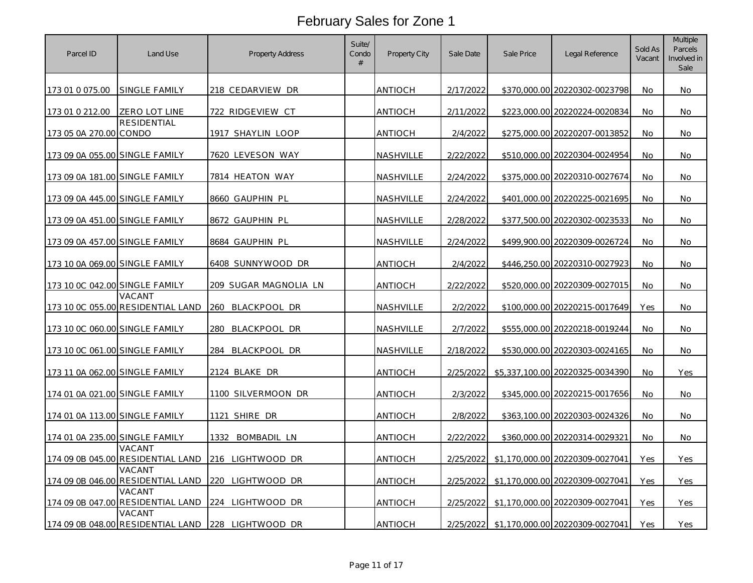| Parcel ID                      | Land Use                                    | <b>Property Address</b> | Suite/<br>Condo<br># | Property City  | Sale Date | Sale Price | Legal Reference                 | Sold As<br>Vacant | <b>Multiple</b><br>Parcels<br>Involved in<br>Sale |
|--------------------------------|---------------------------------------------|-------------------------|----------------------|----------------|-----------|------------|---------------------------------|-------------------|---------------------------------------------------|
| 173 01 0 075.00                | SINGLE FAMILY                               | 218 CEDARVIEW DR        |                      | ANTIOCH        | 2/17/2022 |            | \$370,000.00 20220302-0023798   | No.               | No.                                               |
| 173 01 0 212.00                | ZERO LOT LINE                               | 722 RIDGEVIEW CT        |                      | <b>ANTIOCH</b> | 2/11/2022 |            | \$223,000.00 20220224-0020834   | No                | No                                                |
| 173 05 0A 270.00 CONDO         | <b>RESIDENTIAL</b>                          | 1917 SHAYLIN LOOP       |                      | ANTIOCH        | 2/4/2022  |            | \$275,000.00 20220207-0013852   | No                | No                                                |
| 173 09 0A 055.00 SINGLE FAMILY |                                             | 7620 LEVESON WAY        |                      | NASHVILLE      | 2/22/2022 |            | \$510,000.00 20220304-0024954   | No                | No                                                |
| 173 09 0A 181.00 SINGLE FAMILY |                                             | 7814 HEATON WAY         |                      | NASHVILLE      | 2/24/2022 |            | \$375,000.00 20220310-0027674   | <b>No</b>         | No                                                |
| 173 09 0A 445.00 SINGLE FAMILY |                                             | 8660 GAUPHIN PL         |                      | NASHVILLE      | 2/24/2022 |            | \$401,000.00 20220225-0021695   | No                | <b>No</b>                                         |
| 173 09 0A 451.00 SINGLE FAMILY |                                             | 8672 GAUPHIN PL         |                      | NASHVILLE      | 2/28/2022 |            | \$377,500.00 20220302-0023533   | <b>No</b>         | No                                                |
| 173 09 0A 457.00 SINGLE FAMILY |                                             | 8684 GAUPHIN PL         |                      | NASHVILLE      | 2/24/2022 |            | \$499,900.00 20220309-0026724   | No                | No                                                |
| 173 10 0A 069.00 SINGLE FAMILY |                                             | 6408 SUNNYWOOD DR       |                      | ANTIOCH        | 2/4/2022  |            | \$446,250.00 20220310-0027923   | No.               | No                                                |
| 173 10 0C 042.00 SINGLE FAMILY |                                             | 209 SUGAR MAGNOLIA LN   |                      | ANTIOCH        | 2/22/2022 |            | \$520,000.00 20220309-0027015   | <b>No</b>         | No                                                |
|                                | VACANT<br>173 10 0C 055.00 RESIDENTIAL LAND | 260 BLACKPOOL DR        |                      | NASHVILLE      | 2/2/2022  |            | \$100,000.00 20220215-0017649   | Yes               | <b>No</b>                                         |
| 173 10 0C 060.00 SINGLE FAMILY |                                             | 280 BLACKPOOL DR        |                      | NASHVILLE      | 2/7/2022  |            | \$555,000.00 20220218-0019244   | <b>No</b>         | <b>No</b>                                         |
| 173 10 0C 061.00 SINGLE FAMILY |                                             | 284 BLACKPOOL DR        |                      | NASHVILLE      | 2/18/2022 |            | \$530,000.00 20220303-0024165   | No                | No                                                |
| 173 11 0A 062.00 SINGLE FAMILY |                                             | 2124 BLAKE DR           |                      | ANTIOCH        | 2/25/2022 |            | \$5,337,100.00 20220325-0034390 | No.               | Yes                                               |
| 174 01 0A 021.00 SINGLE FAMILY |                                             | 1100 SILVERMOON DR      |                      | antioch        | 2/3/2022  |            | \$345,000.00 20220215-0017656   | No                | No                                                |
| 174 01 0A 113.00 SINGLE FAMILY |                                             | 1121 SHIRE DR           |                      | ANTIOCH        | 2/8/2022  |            | \$363,100.00 20220303-0024326   | No                | No                                                |
| 174 01 0A 235.00 SINGLE FAMILY |                                             | BOMBADIL LN<br>1332     |                      | ANTIOCH        | 2/22/2022 |            | \$360,000.00 20220314-0029321   | No                | No                                                |
|                                | VACANT<br>174 09 0B 045.00 RESIDENTIAL LAND | 216 LIGHTWOOD DR        |                      | ANTIOCH        | 2/25/2022 |            | \$1,170,000.00 20220309-0027041 | Yes               | Yes                                               |
|                                | VACANT<br>174 09 0B 046.00 RESIDENTIAL LAND | 220 LIGHTWOOD DR        |                      | ANTIOCH        | 2/25/2022 |            | \$1,170,000.00 20220309-0027041 | Yes               | Yes                                               |
|                                | VACANT<br>174 09 0B 047.00 RESIDENTIAL LAND | 224 LIGHTWOOD DR        |                      | ANTIOCH        | 2/25/2022 |            | \$1,170,000.00 20220309-0027041 | Yes               | Yes                                               |
|                                | VACANT<br>174 09 0B 048.00 RESIDENTIAL LAND | 228 LIGHTWOOD DR        |                      | ANTIOCH        | 2/25/2022 |            | \$1,170,000.00 20220309-0027041 | Yes               | Yes                                               |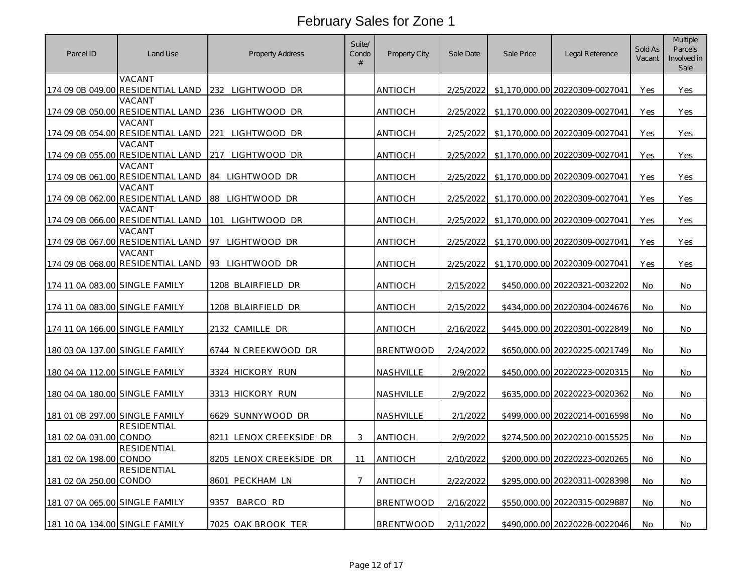| Parcel ID                      | Land Use                                    | <b>Property Address</b> | Suite/<br>Condo<br># | <b>Property City</b> | Sale Date | Sale Price | Legal Reference                 | Sold As<br>Vacant | <b>Multiple</b><br>Parcels<br>Involved in<br>Sale |
|--------------------------------|---------------------------------------------|-------------------------|----------------------|----------------------|-----------|------------|---------------------------------|-------------------|---------------------------------------------------|
|                                | VACANT<br>174 09 0B 049.00 RESIDENTIAL LAND | 232 LIGHTWOOD DR        |                      | ANTIOCH              | 2/25/2022 |            | \$1,170,000.00 20220309-0027041 | Yes               | Yes                                               |
|                                | VACANT<br>174 09 0B 050.00 RESIDENTIAL LAND | 236 LIGHTWOOD DR        |                      | <b>ANTIOCH</b>       | 2/25/2022 |            | \$1,170,000.00 20220309-0027041 | Yes               | Yes                                               |
|                                | VACANT<br>174 09 0B 054.00 RESIDENTIAL LAND | 221<br>LIGHTWOOD DR     |                      | ANTIOCH              | 2/25/2022 |            | \$1,170,000.00 20220309-0027041 | Yes               | Yes                                               |
| 174 09 0B 055.00               | VACANT<br>RESIDENTIAL LAND                  | LIGHTWOOD DR<br>217     |                      | ANTIOCH              | 2/25/2022 |            | \$1,170,000.00 20220309-0027041 | Yes               | Yes                                               |
|                                | VACANT<br>174 09 0B 061.00 RESIDENTIAL LAND | 84 LIGHTWOOD DR         |                      | ANTIOCH              | 2/25/2022 |            | \$1,170,000,00 20220309-0027041 | Yes               | Yes                                               |
| 174 09 0B 062.00               | VACANT<br><b>RESIDENTIAL LAND</b>           | LIGHTWOOD DR<br>88      |                      | <b>ANTIOCH</b>       | 2/25/2022 |            | \$1,170,000.00 20220309-0027041 | Yes               | Yes                                               |
|                                | VACANT<br>174 09 0B 066.00 RESIDENTIAL LAND | 101<br>LIGHTWOOD DR     |                      | ANTIOCH              | 2/25/2022 |            | \$1,170,000,00 20220309-0027041 | Yes               | Yes                                               |
|                                | VACANT<br>174 09 0B 067.00 RESIDENTIAL LAND | 97 LIGHTWOOD DR         |                      | ANTIOCH              | 2/25/2022 |            | \$1,170,000.00 20220309-0027041 | Yes               | <b>Yes</b>                                        |
|                                | VACANT<br>174 09 0B 068.00 RESIDENTIAL LAND | '93 LIGHTWOOD DR        |                      | ANTIOCH              | 2/25/2022 |            | \$1,170,000.00 20220309-0027041 | Yes               | Yes                                               |
| 174 11 0A 083.00 SINGLE FAMILY |                                             | 1208 BLAIRFIELD DR      |                      | <b>ANTIOCH</b>       | 2/15/2022 |            | \$450,000.00 20220321-0032202   | No.               | No                                                |
| 174 11 0A 083.00 SINGLE FAMILY |                                             | 1208 BLAIRFIELD DR      |                      | ANTIOCH              | 2/15/2022 |            | \$434,000.00 20220304-0024676   | No                | No                                                |
| 174 11 0A 166.00 SINGLE FAMILY |                                             | 2132 CAMILLE DR         |                      | ANTIOCH              | 2/16/2022 |            | \$445,000.00 20220301-0022849   | <b>No</b>         | No.                                               |
| 180 03 0A 137.00 SINGLE FAMILY |                                             | 6744 N CREEKWOOD DR     |                      | <b>BRENTWOOD</b>     | 2/24/2022 |            | \$650,000.00 20220225-0021749   | No                | No                                                |
| 180 04 0A 112.00 SINGLE FAMILY |                                             | 3324 HICKORY RUN        |                      | NASHVILLE            | 2/9/2022  |            | \$450,000,00 20220223-0020315   | No                | No.                                               |
| 180 04 0A 180.00 SINGLE FAMILY |                                             | 3313 HICKORY RUN        |                      | NASHVILLE            | 2/9/2022  |            | \$635,000.00 20220223-0020362   | No                | No.                                               |
| 181 01 0B 297.00 SINGLE FAMILY |                                             | 6629 SUNNYWOOD DR       |                      | NASHVILLE            | 2/1/2022  |            | \$499,000.00 20220214-0016598   | No                | No                                                |
| 181 02 0A 031.00 CONDO         | <b>RESIDENTIAL</b>                          | 8211 LENOX CREEKSIDE DR | 3                    | <b>ANTIOCH</b>       | 2/9/2022  |            | \$274,500.00 20220210-0015525   | No                | No                                                |
| 181 02 0A 198.00 CONDO         | <b>RESIDENTIAL</b>                          | 8205 LENOX CREEKSIDE DR | 11                   | <b>ANTIOCH</b>       | 2/10/2022 |            | \$200,000.00 20220223-0020265   | No                | No                                                |
| 181 02 0A 250.00 CONDO         | RESIDENTIAL                                 | 8601 PECKHAM LN         | 7                    | <b>ANTIOCH</b>       | 2/22/2022 |            | \$295,000.00 20220311-0028398   | No.               | No.                                               |
| 181 07 0A 065.00 SINGLE FAMILY |                                             | BARCO RD<br>9357        |                      | <b>BRENTWOOD</b>     | 2/16/2022 |            | \$550,000.00 20220315-0029887   | No                | No                                                |
| 181 10 0A 134.00 SINGLE FAMILY |                                             | 7025 OAK BROOK TER      |                      | <b>BRENTWOOD</b>     | 2/11/2022 |            | \$490,000.00 20220228-0022046   | No                | No                                                |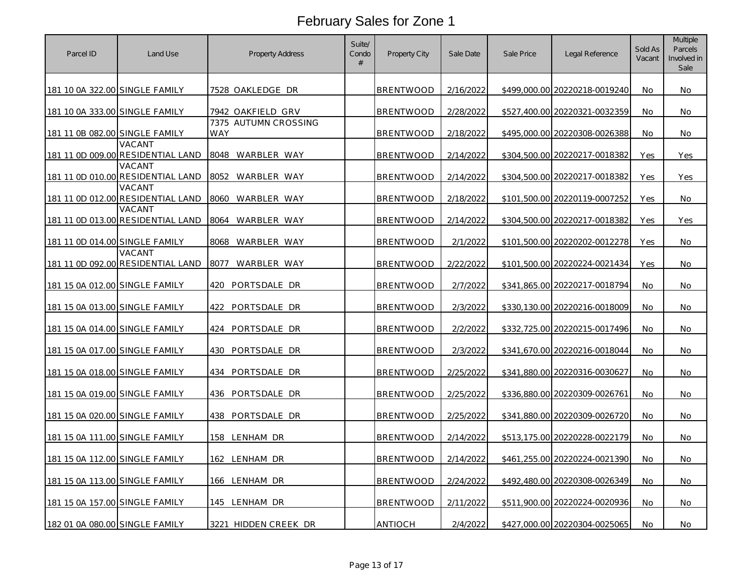| Parcel ID                      | Land Use                                    | <b>Property Address</b>     | Suite/<br>Condo<br># | Property City    | Sale Date | Sale Price | Legal Reference               | Sold As<br>Vacant | <b>Multiple</b><br>Parcels<br>Involved in<br>Sale |
|--------------------------------|---------------------------------------------|-----------------------------|----------------------|------------------|-----------|------------|-------------------------------|-------------------|---------------------------------------------------|
| 181 10 0A 322.00 SINGLE FAMILY |                                             | 7528 OAKLEDGE DR            |                      | BRENTWOOD        | 2/16/2022 |            | \$499,000.00 20220218-0019240 | <b>No</b>         | No.                                               |
| 181 10 0A 333.00 SINGLE FAMILY |                                             | 7942 OAKFIELD GRV           |                      | BRENTWOOD        | 2/28/2022 |            | \$527,400.00 20220321-0032359 | No                | No                                                |
| 181 11 0B 082.00 SINGLE FAMILY |                                             | 7375 AUTUMN CROSSING<br>WAY |                      | BRENTWOOD        | 2/18/2022 |            | \$495,000.00 20220308-0026388 | No                | No                                                |
|                                | VACANT<br>181 11 0D 009.00 RESIDENTIAL LAND | 8048 WARBLER WAY            |                      | BRENTWOOD        | 2/14/2022 |            | \$304,500.00 20220217-0018382 | Yes               | Yes                                               |
|                                | VACANT<br>181 11 0D 010.00 RESIDENTIAL LAND | 8052 WARBLER WAY            |                      | BRENTWOOD        | 2/14/2022 |            | \$304,500.00 20220217-0018382 | Yes               | Yes                                               |
|                                | VACANT<br>181 11 0D 012.00 RESIDENTIAL LAND | 8060<br>WARBLER WAY         |                      | BRENTWOOD        | 2/18/2022 |            | \$101,500.00 20220119-0007252 | Yes               | No                                                |
|                                | VACANT<br>181 11 0D 013.00 RESIDENTIAL LAND | WARBLER WAY<br>8064         |                      | BRENTWOOD        | 2/14/2022 |            | \$304,500.00 20220217-0018382 | Yes               | Yes                                               |
| 181 11 0D 014.00 SINGLE FAMILY |                                             | WARBLER WAY<br>8068         |                      | BRENTWOOD        | 2/1/2022  |            | \$101,500.00 20220202-0012278 | Yes               | No                                                |
|                                | VACANT<br>181 11 0D 092.00 RESIDENTIAL LAND | 8077<br>WARBLER WAY         |                      | <b>BRENTWOOD</b> | 2/22/2022 |            | \$101,500.00 20220224-0021434 | Yes               | No                                                |
| 181 15 0A 012.00 SINGLE FAMILY |                                             | 420<br>PORTSDALE DR         |                      | BRENTWOOD        | 2/7/2022  |            | \$341,865.00 20220217-0018794 | No                | No                                                |
| 181 15 0A 013.00 SINGLE FAMILY |                                             | PORTSDALE DR<br>422         |                      | BRENTWOOD        | 2/3/2022  |            | \$330,130.00 20220216-0018009 | <b>No</b>         | No                                                |
| 181 15 0A 014.00 SINGLE FAMILY |                                             | PORTSDALE DR<br>424         |                      | BRENTWOOD        | 2/2/2022  |            | \$332,725.00 20220215-0017496 | No                | No                                                |
| 181 15 0A 017.00 SINGLE FAMILY |                                             | 430 PORTSDALE DR            |                      | BRENTWOOD        | 2/3/2022  |            | \$341,670.00 20220216-0018044 | No                | No                                                |
| 181 15 0A 018.00 SINGLE FAMILY |                                             | 434<br>PORTSDALE DR         |                      | <b>BRENTWOOD</b> | 2/25/2022 |            | \$341,880.00 20220316-0030627 | No                | No                                                |
| 181 15 0A 019.00 SINGLE FAMILY |                                             | 436 PORTSDALE DR            |                      | BRENTWOOD        | 2/25/2022 |            | \$336,880.00 20220309-0026761 | No                | No                                                |
| 181 15 0A 020.00 SINGLE FAMILY |                                             | 438 PORTSDALE DR            |                      | BRENTWOOD        | 2/25/2022 |            | \$341,880.00 20220309-0026720 | No                | No                                                |
| 181 15 0A 111.00 SINGLE FAMILY |                                             | 158 LENHAM DR               |                      | <b>BRENTWOOD</b> | 2/14/2022 |            | \$513,175.00 20220228-0022179 | No                | No                                                |
| 181 15 0A 112.00 SINGLE FAMILY |                                             | 162 LENHAM DR               |                      | <b>BRENTWOOD</b> | 2/14/2022 |            | \$461,255.00 20220224-0021390 | No                | No.                                               |
| 181 15 0A 113.00 SINGLE FAMILY |                                             | 166 LENHAM DR               |                      | BRENTWOOD        | 2/24/2022 |            | \$492,480.00 20220308-0026349 | No                | No                                                |
| 181 15 0A 157.00 SINGLE FAMILY |                                             | 145 LENHAM DR               |                      | <b>BRENTWOOD</b> | 2/11/2022 |            | \$511,900.00 20220224-0020936 | No                | No                                                |
| 182 01 0A 080.00 SINGLE FAMILY |                                             | 3221 HIDDEN CREEK DR        |                      | <b>ANTIOCH</b>   | 2/4/2022  |            | \$427,000.00 20220304-0025065 | No                | No                                                |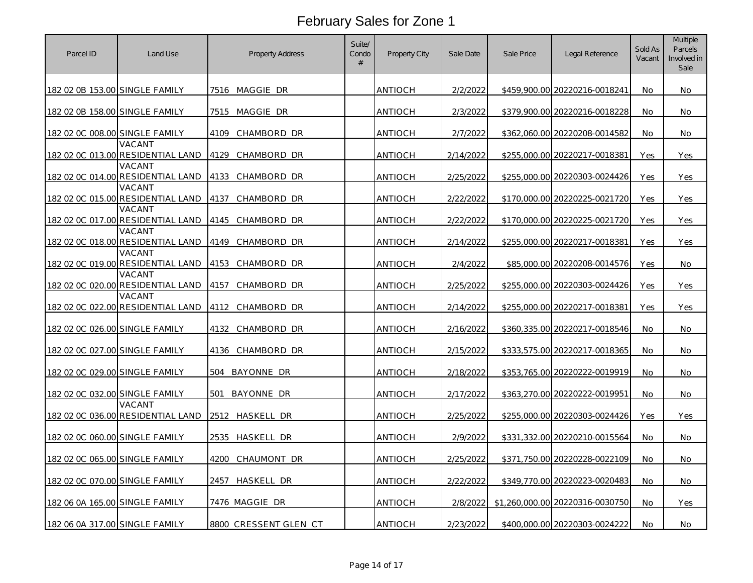| Parcel ID                      | Land Use                                    | <b>Property Address</b> | Suite/<br>Condo<br># | Property City  | Sale Date | Sale Price | Legal Reference                 | Sold As<br>Vacant | <b>Multiple</b><br>Parcels<br>Involved in<br>Sale |
|--------------------------------|---------------------------------------------|-------------------------|----------------------|----------------|-----------|------------|---------------------------------|-------------------|---------------------------------------------------|
| 182 02 0B 153.00 SINGLE FAMILY |                                             | 7516 MAGGIE DR          |                      | ANTIOCH        | 2/2/2022  |            | \$459.900.00 20220216-0018241   | <b>No</b>         | No.                                               |
| 182 02 0B 158.00 SINGLE FAMILY |                                             | 7515 MAGGIE DR          |                      | ANTIOCH        | 2/3/2022  |            | \$379,900.00 20220216-0018228   | No.               | No.                                               |
| 182 02 0C 008.00 SINGLE FAMILY |                                             | 4109<br>CHAMBORD DR     |                      | ANTIOCH        | 2/7/2022  |            | \$362,060.00 20220208-0014582   | No                | No                                                |
|                                | VACANT<br>182 02 0C 013.00 RESIDENTIAL LAND | 4129<br>CHAMBORD DR     |                      | antioch        | 2/14/2022 |            | \$255,000.00 20220217-0018381   | Yes               | Yes                                               |
|                                | VACANT<br>182 02 0C 014.00 RESIDENTIAL LAND | 4133 CHAMBORD DR        |                      | ANTIOCH        | 2/25/2022 |            | \$255,000.00 20220303-0024426   | Yes               | Yes                                               |
|                                | VACANT<br>182 02 0C 015.00 RESIDENTIAL LAND | 4137<br>CHAMBORD DR     |                      | ANTIOCH        | 2/22/2022 |            | \$170,000.00 20220225-0021720   | Yes               | Yes                                               |
|                                | VACANT<br>182 02 0C 017.00 RESIDENTIAL LAND | 4145<br>CHAMBORD DR     |                      | antioch        | 2/22/2022 |            | \$170,000.00 20220225-0021720   | Yes               | Yes                                               |
|                                | VACANT<br>182 02 0C 018.00 RESIDENTIAL LAND | 4149<br>CHAMBORD DR     |                      | <b>ANTIOCH</b> | 2/14/2022 |            | \$255,000.00 20220217-0018381   | Yes               | Yes                                               |
|                                | VACANT<br>182 02 0C 019.00 RESIDENTIAL LAND | 4153<br>CHAMBORD DR     |                      | <b>ANTIOCH</b> | 2/4/2022  |            | \$85,000.00 20220208-0014576    | Yes               | No                                                |
|                                | VACANT<br>182 02 0C 020.00 RESIDENTIAL LAND | CHAMBORD DR<br>4157     |                      | ANTIOCH        | 2/25/2022 |            | \$255,000.00 20220303-0024426   | Yes               | Yes                                               |
|                                | VACANT<br>182 02 0C 022.00 RESIDENTIAL LAND | 4112<br>CHAMBORD DR     |                      | <b>ANTIOCH</b> | 2/14/2022 |            | \$255,000.00 20220217-0018381   | Yes               | Yes                                               |
| 182 02 0C 026.00 SINGLE FAMILY |                                             | 4132<br>CHAMBORD DR     |                      | ANTIOCH        | 2/16/2022 |            | \$360,335.00 20220217-0018546   | No                | No                                                |
| 182 02 0C 027.00 SINGLE FAMILY |                                             | 4136 CHAMBORD DR        |                      | ANTIOCH        | 2/15/2022 |            | \$333,575.00 20220217-0018365   | No.               | No                                                |
| 182 02 0C 029.00 SINGLE FAMILY |                                             | BAYONNE DR<br>504       |                      | <b>ANTIOCH</b> | 2/18/2022 |            | \$353,765.00 20220222-0019919   | No                | No                                                |
| 182 02 0C 032.00 SINGLE FAMILY |                                             | 501<br>BAYONNE DR       |                      | ANTIOCH        | 2/17/2022 |            | \$363,270.00 20220222-0019951   | No                | No                                                |
|                                | VACANT<br>182 02 0C 036.00 RESIDENTIAL LAND | 2512 HASKELL DR         |                      | antioch        | 2/25/2022 |            | \$255,000.00 20220303-0024426   | Yes               | Yes                                               |
| 182 02 0C 060.00 SINGLE FAMILY |                                             | 2535 HASKELL DR         |                      | <b>ANTIOCH</b> | 2/9/2022  |            | \$331,332.00 20220210-0015564   | No                | No                                                |
| 182 02 0C 065.00 SINGLE FAMILY |                                             | 4200<br>CHAUMONT DR     |                      | ANTIOCH        | 2/25/2022 |            | \$371,750.00 20220228-0022109   | No.               | No.                                               |
| 182 02 0C 070.00 SINGLE FAMILY |                                             | 2457 HASKELL DR         |                      | antioch        | 2/22/2022 |            | \$349,770.00 20220223-0020483   | <b>No</b>         | No.                                               |
| 182 06 0A 165.00 SINGLE FAMILY |                                             | 7476 MAGGIE DR          |                      | antioch        | 2/8/2022  |            | \$1,260,000.00 20220316-0030750 | No                | Yes                                               |
| 182 06 0A 317.00 SINGLE FAMILY |                                             | 8800 CRESSENT GLEN CT   |                      | ANTIOCH        | 2/23/2022 |            | \$400,000.00 20220303-0024222   | No                | No                                                |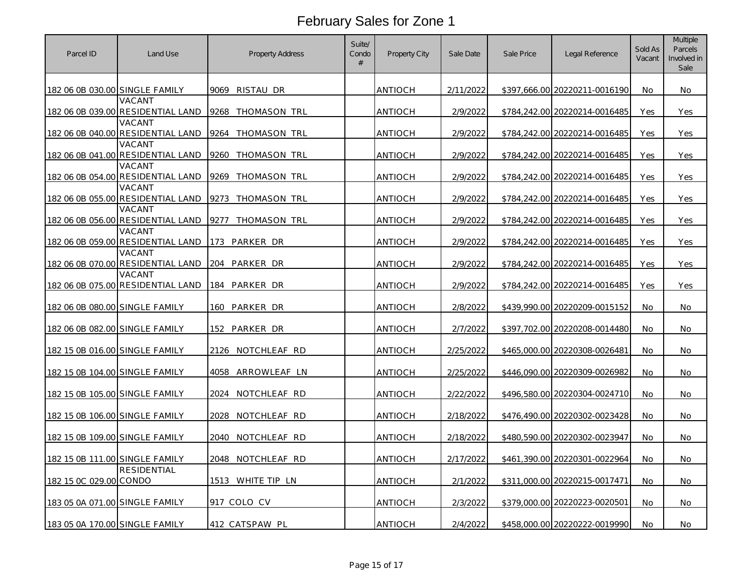| Parcel ID                      | Land Use                                    | <b>Property Address</b> | Suite/<br>Condo<br># | Property City  | Sale Date | Sale Price | Legal Reference               | Sold As<br>Vacant | <b>Multiple</b><br>Parcels<br>Involved in<br>Sale |
|--------------------------------|---------------------------------------------|-------------------------|----------------------|----------------|-----------|------------|-------------------------------|-------------------|---------------------------------------------------|
| 182 06 0B 030.00 SINGLE FAMILY |                                             | 9069 RISTAU DR          |                      | ANTIOCH        | 2/11/2022 |            | \$397,666.00 20220211-0016190 | No.               | No.                                               |
|                                | VACANT<br>182 06 0B 039.00 RESIDENTIAL LAND | 9268 THOMASON TRL       |                      | <b>ANTIOCH</b> | 2/9/2022  |            | \$784,242.00 20220214-0016485 | Yes               | Yes                                               |
|                                | VACANT<br>182 06 0B 040.00 RESIDENTIAL LAND | 9264<br>THOMASON TRL    |                      | ANTIOCH        | 2/9/2022  |            | \$784,242.00 20220214-0016485 | Yes               | Yes                                               |
|                                | VACANT<br>182 06 0B 041.00 RESIDENTIAL LAND | 9260 THOMASON TRL       |                      | antioch        | 2/9/2022  |            | \$784,242.00 20220214-0016485 | Yes               | Yes                                               |
|                                | VACANT<br>182 06 0B 054.00 RESIDENTIAL LAND | 9269 THOMASON TRL       |                      | ANTIOCH        | 2/9/2022  |            | \$784,242.00 20220214-0016485 | Yes               | Yes                                               |
|                                | VACANT<br>182 06 0B 055.00 RESIDENTIAL LAND | 9273 THOMASON TRL       |                      | ANTIOCH        | 2/9/2022  |            | \$784,242.00 20220214-0016485 | Yes               | Yes                                               |
|                                | VACANT<br>182 06 0B 056.00 RESIDENTIAL LAND | 9277<br>THOMASON TRL    |                      | antioch        | 2/9/2022  |            | \$784,242.00 20220214-0016485 | Yes               | Yes                                               |
|                                | VACANT<br>182 06 0B 059.00 RESIDENTIAL LAND | 173<br>PARKER DR        |                      | ANTIOCH        | 2/9/2022  |            | \$784,242.00 20220214-0016485 | Yes               | Yes                                               |
|                                | VACANT<br>182 06 0B 070.00 RESIDENTIAL LAND | 204 PARKER DR           |                      | ANTIOCH        | 2/9/2022  |            | \$784,242.00 20220214-0016485 | Yes               | Yes                                               |
|                                | VACANT<br>182 06 0B 075.00 RESIDENTIAL LAND | 184 PARKER DR           |                      | ANTIOCH        | 2/9/2022  |            | \$784,242.00 20220214-0016485 | Yes               | Yes                                               |
| 182 06 0B 080.00 SINGLE FAMILY |                                             | 160 PARKER DR           |                      | ANTIOCH        | 2/8/2022  |            | \$439,990.00 20220209-0015152 | No.               | No.                                               |
| 182 06 0B 082.00 SINGLE FAMILY |                                             | PARKER DR<br>152        |                      | <b>ANTIOCH</b> | 2/7/2022  |            | \$397,702.00 20220208-0014480 | No                | No                                                |
| 182 15 0B 016.00 SINGLE FAMILY |                                             | 2126 NOTCHLEAF RD       |                      | ANTIOCH        | 2/25/2022 |            | \$465,000.00 20220308-0026481 | No                | No                                                |
| 182 15 0B 104.00 SINGLE FAMILY |                                             | 4058 ARROWLEAF LN       |                      | ANTIOCH        | 2/25/2022 |            | \$446,090.00 20220309-0026982 | No.               | No                                                |
| 182 15 0B 105.00 SINGLE FAMILY |                                             | 2024 NOTCHLEAF RD       |                      | antioch        | 2/22/2022 |            | \$496,580.00 20220304-0024710 | No                | No                                                |
| 182 15 0B 106.00 SINGLE FAMILY |                                             | 2028 NOTCHLEAF RD       |                      | ANTIOCH        | 2/18/2022 |            | \$476,490.00 20220302-0023428 | No                | No                                                |
| 182 15 0B 109.00 SINGLE FAMILY |                                             | 2040 NOTCHLEAF RD       |                      | ANTIOCH        | 2/18/2022 |            | \$480,590.00 20220302-0023947 | No                | No                                                |
| 182 15 0B 111.00 SINGLE FAMILY |                                             | 2048 NOTCHLEAF RD       |                      | ANTIOCH        | 2/17/2022 |            | \$461,390.00 20220301-0022964 | No                | No                                                |
| 182 15 0C 029.00 CONDO         | <b>RESIDENTIAL</b>                          | 1513 WHITE TIP LN       |                      | ANTIOCH        | 2/1/2022  |            | \$311,000.00 20220215-0017471 | <b>No</b>         | No.                                               |
| 183 05 0A 071.00 SINGLE FAMILY |                                             | 917 COLO CV             |                      | ANTIOCH        | 2/3/2022  |            | \$379,000.00 20220223-0020501 | No                | No                                                |
| 183 05 0A 170.00 SINGLE FAMILY |                                             | 412 CATSPAW PL          |                      | <b>ANTIOCH</b> | 2/4/2022  |            | \$458,000.00 20220222-0019990 | No                | No                                                |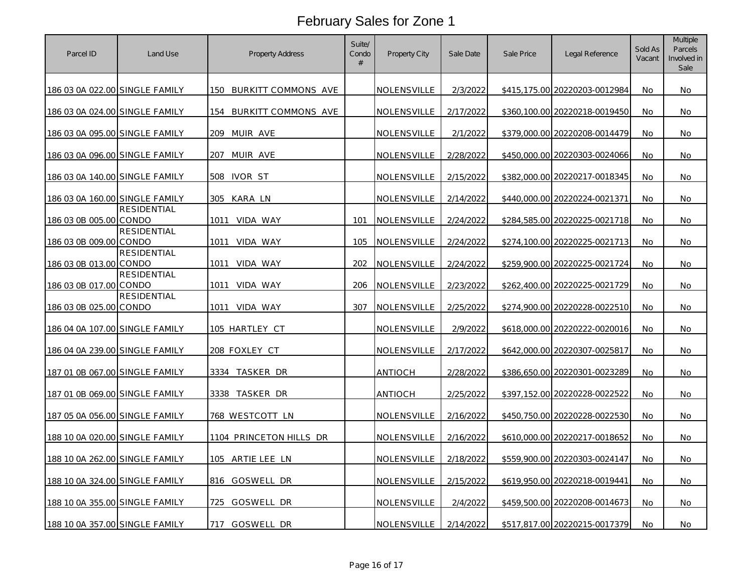| Parcel ID                      | Land Use           | <b>Property Address</b>    | Suite/<br>Condo<br># | Property City | Sale Date | Sale Price | Legal Reference               | Sold As<br>Vacant | <b>Multiple</b><br>Parcels<br>Involved in<br>Sale |
|--------------------------------|--------------------|----------------------------|----------------------|---------------|-----------|------------|-------------------------------|-------------------|---------------------------------------------------|
| 186 03 0A 022.00 SINGLE FAMILY |                    | 150<br>BURKITT COMMONS AVE |                      | NOLENSVILLE   | 2/3/2022  |            | \$415.175.00 20220203-0012984 | <b>No</b>         | No.                                               |
| 186 03 0A 024.00 SINGLE FAMILY |                    | 154<br>BURKITT COMMONS AVE |                      | NOLENSVILLE   | 2/17/2022 |            | \$360.100.00 20220218-0019450 | No.               | No                                                |
| 186 03 0A 095.00 SINGLE FAMILY |                    | 209<br>MUIR AVE            |                      | NOLENSVILLE   | 2/1/2022  |            | \$379,000.00 20220208-0014479 | No                | No                                                |
| 186 03 0A 096.00 SINGLE FAMILY |                    | MUIR AVE<br>207            |                      | NOLENSVILLE   | 2/28/2022 |            | \$450,000.00 20220303-0024066 | No.               | <b>No</b>                                         |
| 186 03 0A 140.00 SINGLE FAMILY |                    | 508 IVOR ST                |                      | NOLENSVILLE   | 2/15/2022 |            | \$382,000.00 20220217-0018345 | No.               | No                                                |
| 186 03 0A 160.00 SINGLE FAMILY |                    | 305<br>KARA LN             |                      | NOLENSVILLE   | 2/14/2022 |            | \$440,000.00 20220224-0021371 | No                | No                                                |
| 186 03 0B 005.00 CONDO         | <b>RESIDENTIAL</b> | VIDA WAY<br>1011           | 101                  | NOLENSVILLE   | 2/24/2022 |            | \$284,585.00 20220225-0021718 | No.               | No.                                               |
| 186 03 0B 009.00 CONDO         | <b>RESIDENTIAL</b> | 1011 VIDA WAY              | 105                  | NOLENSVILLE   | 2/24/2022 |            | \$274,100.00 20220225-0021713 | No                | No                                                |
| 186 03 0B 013.00 CONDO         | <b>RESIDENTIAL</b> | VIDA WAY<br>1011           | 202                  | NOLENSVILLE   | 2/24/2022 |            | \$259,900.00 20220225-0021724 | No                | No                                                |
| 186 03 0B 017.00 CONDO         | RESIDENTIAL        | 1011<br>VIDA WAY           | 206                  | NOLENSVILLE   | 2/23/2022 |            | \$262,400.00 20220225-0021729 | No                | No                                                |
| 186 03 0B 025.00 CONDO         | RESIDENTIAL        | VIDA WAY<br>1011           | 307                  | NOLENSVILLE   | 2/25/2022 |            | \$274,900.00 20220228-0022510 | <b>No</b>         | No                                                |
| 186 04 0A 107.00 SINGLE FAMILY |                    | <u>105 HARTLEY CT</u>      |                      | NOLENSVILLE   | 2/9/2022  |            | \$618,000.00 20220222-0020016 | No                | No                                                |
| 186 04 0A 239.00 SINGLE FAMILY |                    | 208 FOXLEY CT              |                      | NOLENSVILLE   | 2/17/2022 |            | \$642,000.00 20220307-0025817 | No.               | No                                                |
| 187 01 0B 067.00 SINGLE FAMILY |                    | 3334 TASKER DR             |                      | ANTIOCH       | 2/28/2022 |            | \$386,650.00 20220301-0023289 | No                | No                                                |
| 187 01 0B 069.00 SINGLE FAMILY |                    | 3338 TASKER DR             |                      | ANTIOCH       | 2/25/2022 |            | \$397,152.00 20220228-0022522 | No                | No                                                |
| 187 05 0A 056.00 SINGLE FAMILY |                    | 768 WESTCOTT LN            |                      | NOLENSVILLE   | 2/16/2022 |            | \$450,750.00 20220228-0022530 | No                | No                                                |
| 188 10 0A 020.00 SINGLE FAMILY |                    | 1104 PRINCETON HILLS DR    |                      | NOLENSVILLE   | 2/16/2022 |            | \$610,000.00 20220217-0018652 | No                | No                                                |
| 188 10 0A 262.00 SINGLE FAMILY |                    | 105 ARTIE LEE LN           |                      | NOLENSVILLE   | 2/18/2022 |            | \$559,900.00 20220303-0024147 | No.               | No                                                |
| 188 10 0A 324.00 SINGLE FAMILY |                    | 816 GOSWELL DR             |                      | NOLENSVILLE   | 2/15/2022 |            | \$619,950.00 20220218-0019441 | <b>No</b>         | No                                                |
| 188 10 0A 355.00 SINGLE FAMILY |                    | 725<br>GOSWELL DR          |                      | NOLENSVILLE   | 2/4/2022  |            | \$459,500.00 20220208-0014673 | No                | No                                                |
| 188 10 0A 357.00 SINGLE FAMILY |                    | 717<br>GOSWELL DR          |                      | NOLENSVILLE   | 2/14/2022 |            | \$517,817.00 20220215-0017379 | No                | No                                                |